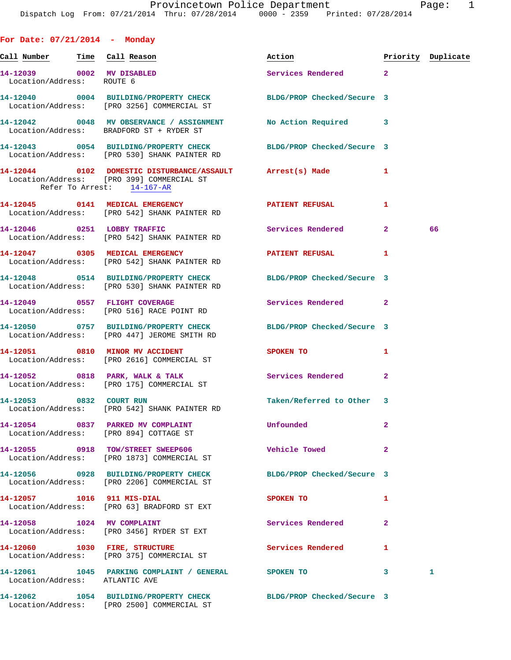| For Date: $07/21/2014$ - Monday                        |                                                                                                                  |                           |                |                    |
|--------------------------------------------------------|------------------------------------------------------------------------------------------------------------------|---------------------------|----------------|--------------------|
| <u>Call Number — Time Call Reason</u>                  |                                                                                                                  | Action                    |                | Priority Duplicate |
| 14-12039 0002 MV DISABLED<br>Location/Address: ROUTE 6 |                                                                                                                  | Services Rendered 2       |                |                    |
|                                                        | 14-12040 0004 BUILDING/PROPERTY CHECK BLDG/PROP Checked/Secure 3<br>Location/Address: [PRO 3256] COMMERCIAL ST   |                           |                |                    |
|                                                        | 14-12042 0048 MV OBSERVANCE / ASSIGNMENT No Action Required 3<br>Location/Address: BRADFORD ST + RYDER ST        |                           |                |                    |
|                                                        | 14-12043 0054 BUILDING/PROPERTY CHECK BLDG/PROP Checked/Secure 3<br>Location/Address: [PRO 530] SHANK PAINTER RD |                           |                |                    |
| Refer To Arrest: 14-167-AR                             | 14-12044 0102 DOMESTIC DISTURBANCE/ASSAULT Arrest(s) Made<br>Location/Address: [PRO 399] COMMERCIAL ST           |                           | 1              |                    |
|                                                        | 14-12045   0141 MEDICAL EMERGENCY   DATIENT REFUSAL<br>Location/Address: [PRO 542] SHANK PAINTER RD              |                           | 1              |                    |
|                                                        | 14-12046 0251 LOBBY TRAFFIC<br>Location/Address: [PRO 542] SHANK PAINTER RD                                      | Services Rendered 2       |                | 66                 |
|                                                        | 14-12047 0305 MEDICAL EMERGENCY DATIENT REFUSAL<br>Location/Address: [PRO 542] SHANK PAINTER RD                  |                           | 1              |                    |
|                                                        | 14-12048 0514 BUILDING/PROPERTY CHECK BLDG/PROP Checked/Secure 3<br>Location/Address: [PRO 530] SHANK PAINTER RD |                           |                |                    |
|                                                        | 14-12049 0557 FLIGHT COVERAGE<br>Location/Address: [PRO 516] RACE POINT RD                                       | Services Rendered 2       |                |                    |
|                                                        | 14-12050 0757 BUILDING/PROPERTY CHECK BLDG/PROP Checked/Secure 3<br>Location/Address: [PRO 447] JEROME SMITH RD  |                           |                |                    |
|                                                        | 14-12051 0810 MINOR MV ACCIDENT<br>Location/Address: [PRO 2616] COMMERCIAL ST                                    | SPOKEN TO                 | 1              |                    |
|                                                        | 14-12052 0818 PARK, WALK & TALK<br>Location/Address: [PRO 175] COMMERCIAL ST                                     | Services Rendered         | $\overline{2}$ |                    |
| 14-12053 0832 COURT RUN                                | Location/Address: [PRO 542] SHANK PAINTER RD                                                                     | Taken/Referred to Other 3 |                |                    |
|                                                        | 14-12054 0837 PARKED MV COMPLAINT<br>Location/Address: [PRO 894] COTTAGE ST                                      | Unfounded                 | 2              |                    |
|                                                        | 14-12055 0918 TOW/STREET SWEEP606<br>Location/Address: [PRO 1873] COMMERCIAL ST                                  | Vehicle Towed             | $\overline{a}$ |                    |
|                                                        | 14-12056 0928 BUILDING/PROPERTY CHECK BLDG/PROP Checked/Secure 3<br>Location/Address: [PRO 2206] COMMERCIAL ST   |                           |                |                    |
| 14-12057 1016 911 MIS-DIAL                             | Location/Address: [PRO 63] BRADFORD ST EXT                                                                       | SPOKEN TO                 | 1              |                    |
|                                                        | 14-12058 1024 MV COMPLAINT<br>Location/Address: [PRO 3456] RYDER ST EXT                                          | Services Rendered         | $\mathbf{2}$   |                    |
| 14-12060 1030 FIRE, STRUCTURE                          | Location/Address: [PRO 375] COMMERCIAL ST                                                                        | Services Rendered         | 1              |                    |
| Location/Address: ATLANTIC AVE                         |                                                                                                                  |                           | 3              | 1                  |
|                                                        | 14-12062 1054 BUILDING/PROPERTY CHECK BLDG/PROP Checked/Secure 3<br>Location/Address: [PRO 2500] COMMERCIAL ST   |                           |                |                    |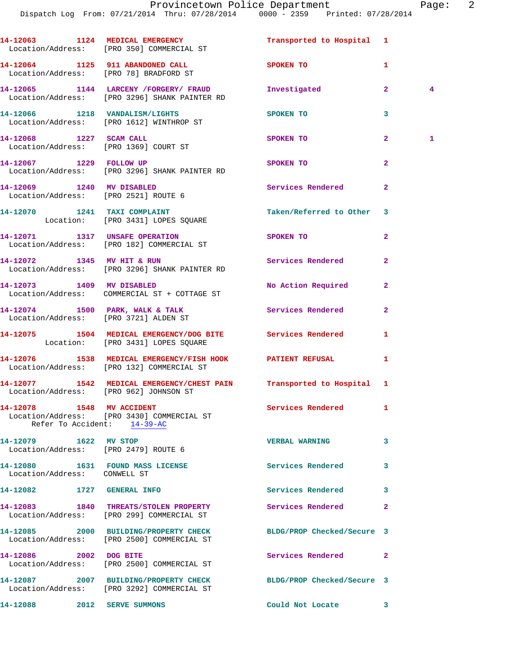|                              | 14-12063 1124 MEDICAL EMERGENCY<br>Location/Address: [PRO 350] COMMERCIAL ST                                   | Transported to Hospital 1         |                                  |
|------------------------------|----------------------------------------------------------------------------------------------------------------|-----------------------------------|----------------------------------|
|                              | 14-12064 1125 911 ABANDONED CALL<br>Location/Address: [PRO 78] BRADFORD ST                                     | SPOKEN TO AND TO A REAL PROPERTY. | 1                                |
|                              | 14-12065 1144 LARCENY /FORGERY/ FRAUD<br>Location/Address: [PRO 3296] SHANK PAINTER RD                         | Investigated                      | 2 <sup>1</sup><br>$\overline{4}$ |
|                              | 14-12066 1218 VANDALISM/LIGHTS<br>Location/Address: [PRO 1612] WINTHROP ST                                     | SPOKEN TO                         | 3                                |
|                              | 14-12068 1227 SCAM CALL<br>Location/Address: [PRO 1369] COURT ST                                               | SPOKEN TO                         | 2 <sup>1</sup><br>1              |
|                              | 14-12067 1229 FOLLOW UP<br>Location/Address: [PRO 3296] SHANK PAINTER RD                                       | SPOKEN TO                         | $\overline{2}$                   |
|                              | 14-12069 1240 MV DISABLED<br>Location/Address: [PRO 2521] ROUTE 6                                              | Services Rendered                 | $\mathbf{2}$                     |
|                              | 14-12070 1241 TAXI COMPLAINT<br>Location: [PRO 3431] LOPES SQUARE                                              | Taken/Referred to Other           | 3                                |
|                              | 14-12071 1317 UNSAFE OPERATION<br>Location/Address: [PRO 182] COMMERCIAL ST                                    | SPOKEN TO                         | $\overline{a}$                   |
|                              | 14-12072 1345 MV HIT & RUN<br>Location/Address: [PRO 3296] SHANK PAINTER RD                                    | Services Rendered                 | $\overline{2}$                   |
|                              | 14-12073 1409 MV DISABLED<br>Location/Address: COMMERCIAL ST + COTTAGE ST                                      | No Action Required                | $\overline{a}$                   |
|                              | 14-12074 1500 PARK, WALK & TALK<br>Location/Address: [PRO 3721] ALDEN ST                                       | Services Rendered                 | $\overline{a}$                   |
|                              | 14-12075 1504 MEDICAL EMERGENCY/DOG BITE<br>Location: [PRO 3431] LOPES SQUARE                                  | <b>Services Rendered</b>          | 1                                |
|                              | 14-12076 1538 MEDICAL EMERGENCY/FISH HOOK PATIENT REFUSAL<br>Location/Address: [PRO 132] COMMERCIAL ST         |                                   | 1                                |
|                              | 14-12077 1542 MEDICAL EMERGENCY/CHEST PAIN Transported to Hospital 1<br>Location/Address: [PRO 962] JOHNSON ST |                                   |                                  |
| 14-12078 1548 MV ACCIDENT    | Location/Address: [PRO 3430] COMMERCIAL ST<br>Refer To Accident: 14-39-AC                                      | <b>Services Rendered</b>          | $\mathbf{1}$                     |
| 14-12079 1622 MV STOP        | Location/Address: [PRO 2479] ROUTE 6                                                                           | <b>VERBAL WARNING</b>             | 3                                |
| Location/Address: CONWELL ST | 14-12080 1631 FOUND MASS LICENSE                                                                               | Services Rendered                 | 3                                |
| 14-12082 1727 GENERAL INFO   |                                                                                                                | Services Rendered                 | 3                                |
|                              | 14-12083 1840 THREATS/STOLEN PROPERTY<br>Location/Address: [PRO 299] COMMERCIAL ST                             | Services Rendered                 | 2                                |
|                              | 14-12085 2000 BUILDING/PROPERTY CHECK<br>Location/Address: [PRO 2500] COMMERCIAL ST                            | BLDG/PROP Checked/Secure 3        |                                  |
| 14-12086 2002 DOG BITE       | Location/Address: [PRO 2500] COMMERCIAL ST                                                                     | Services Rendered                 | $\mathbf{2}$                     |
|                              | 14-12087 2007 BUILDING/PROPERTY CHECK<br>Location/Address: [PRO 3292] COMMERCIAL ST                            | BLDG/PROP Checked/Secure 3        |                                  |
| 14-12088                     | 2012 SERVE SUMMONS                                                                                             | Could Not Locate                  | 3                                |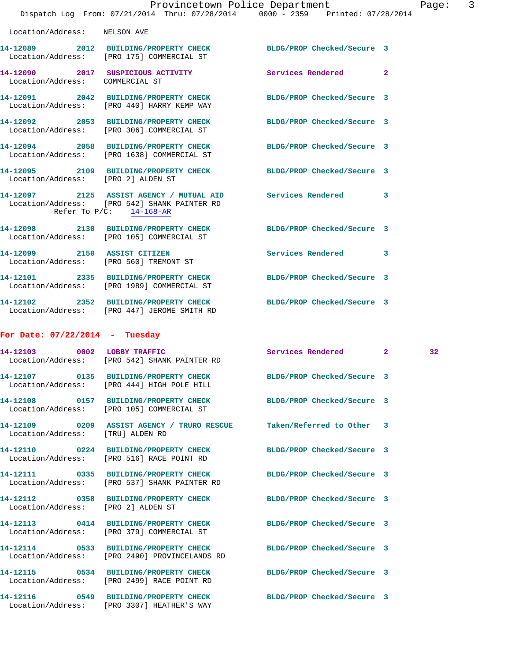|                                    |                                                                                                                                            | Provincetown Police Department                                                 | 3<br>Page: |
|------------------------------------|--------------------------------------------------------------------------------------------------------------------------------------------|--------------------------------------------------------------------------------|------------|
|                                    |                                                                                                                                            | Dispatch Log From: 07/21/2014 Thru: 07/28/2014 0000 - 2359 Printed: 07/28/2014 |            |
| Location/Address: NELSON AVE       |                                                                                                                                            |                                                                                |            |
|                                    | 14-12089 2012 BUILDING/PROPERTY CHECK BLDG/PROP Checked/Secure 3<br>Location/Address: [PRO 175] COMMERCIAL ST                              |                                                                                |            |
| Location/Address: COMMERCIAL ST    | 14-12090 2017 SUSPICIOUS ACTIVITY Services Rendered 2                                                                                      |                                                                                |            |
|                                    | 14-12091 2042 BUILDING/PROPERTY CHECK BLDG/PROP Checked/Secure 3<br>Location/Address: [PRO 440] HARRY KEMP WAY                             |                                                                                |            |
|                                    | 14-12092 2053 BUILDING/PROPERTY CHECK BLDG/PROP Checked/Secure 3<br>Location/Address: [PRO 306] COMMERCIAL ST                              |                                                                                |            |
|                                    | 14-12094 2058 BUILDING/PROPERTY CHECK<br>Location/Address: [PRO 1638] COMMERCIAL ST                                                        | BLDG/PROP Checked/Secure 3                                                     |            |
| Location/Address: [PRO 2] ALDEN ST | 14-12095 2109 BUILDING/PROPERTY CHECK BLDG/PROP Checked/Secure 3                                                                           |                                                                                |            |
|                                    | 14-12097 2125 ASSIST AGENCY / MUTUAL AID Services Rendered 3<br>Location/Address: [PRO 542] SHANK PAINTER RD<br>Refer To $P/C$ : 14-168-AR |                                                                                |            |
|                                    | 14-12098 2130 BUILDING/PROPERTY CHECK BLDG/PROP Checked/Secure 3<br>Location/Address: [PRO 105] COMMERCIAL ST                              |                                                                                |            |
|                                    | 14-12099 2150 ASSIST CITIZEN<br>Location/Address: [PRO 560] TREMONT ST                                                                     | Services Rendered 3                                                            |            |
|                                    | 14-12101 2335 BUILDING/PROPERTY CHECK<br>Location/Address: [PRO 1989] COMMERCIAL ST                                                        | BLDG/PROP Checked/Secure 3                                                     |            |
|                                    | 14-12102 2352 BUILDING/PROPERTY CHECK BLDG/PROP Checked/Secure 3<br>Location/Address: [PRO 447] JEROME SMITH RD                            |                                                                                |            |
| For Date: $07/22/2014$ - Tuesday   |                                                                                                                                            |                                                                                |            |
| 14-12103 0002 LOBBY TRAFFIC        | Location/Address: [PRO 542] SHANK PAINTER RD                                                                                               | Services Rendered 2                                                            | 32         |
|                                    | 14-12107 0135 BUILDING/PROPERTY CHECK<br>Location/Address: [PRO 444] HIGH POLE HILL                                                        | BLDG/PROP Checked/Secure 3                                                     |            |
|                                    | 14-12108 0157 BUILDING/PROPERTY CHECK<br>Location/Address: [PRO 105] COMMERCIAL ST                                                         | BLDG/PROP Checked/Secure 3                                                     |            |
| Location/Address: [TRU] ALDEN RD   | 14-12109 0209 ASSIST AGENCY / TRURO RESCUE Taken/Referred to Other 3                                                                       |                                                                                |            |
|                                    | 14-12110 0224 BUILDING/PROPERTY CHECK<br>Location/Address: [PRO 516] RACE POINT RD                                                         | BLDG/PROP Checked/Secure 3                                                     |            |
|                                    | 14-12111 0335 BUILDING/PROPERTY CHECK<br>Location/Address: [PRO 537] SHANK PAINTER RD                                                      | BLDG/PROP Checked/Secure 3                                                     |            |
| Location/Address: [PRO 2] ALDEN ST | 14-12112 0358 BUILDING/PROPERTY CHECK                                                                                                      | BLDG/PROP Checked/Secure 3                                                     |            |
|                                    | 14-12113 0414 BUILDING/PROPERTY CHECK<br>Location/Address: [PRO 379] COMMERCIAL ST                                                         | BLDG/PROP Checked/Secure 3                                                     |            |
|                                    | 14-12114 0533 BUILDING/PROPERTY CHECK<br>Location/Address: [PRO 2490] PROVINCELANDS RD                                                     | BLDG/PROP Checked/Secure 3                                                     |            |
|                                    | 14-12115 0534 BUILDING/PROPERTY CHECK<br>Location/Address: [PRO 2499] RACE POINT RD                                                        | BLDG/PROP Checked/Secure 3                                                     |            |
|                                    | 14-12116 0549 BUILDING/PROPERTY CHECK                                                                                                      | BLDG/PROP Checked/Secure 3                                                     |            |

Location/Address: [PRO 3307] HEATHER'S WAY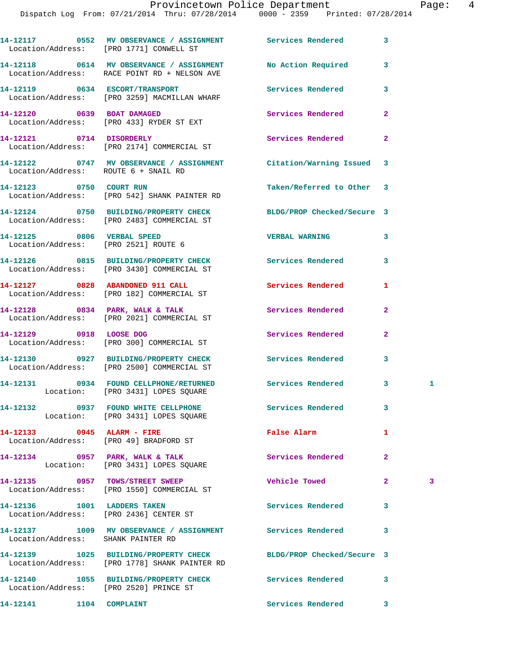## Provincetown Police Department Page: 4

|                                                                    | 14-12117 0552 MV OBSERVANCE / ASSIGNMENT Services Rendered<br>Location/Address: [PRO 1771] CONWELL ST                          |                           | 3                 |
|--------------------------------------------------------------------|--------------------------------------------------------------------------------------------------------------------------------|---------------------------|-------------------|
|                                                                    | 14-12118 0614 MV OBSERVANCE / ASSIGNMENT<br>Location/Address: RACE POINT RD + NELSON AVE                                       | No Action Required        | 3                 |
|                                                                    | 14-12119 0634 ESCORT/TRANSPORT<br>Location/Address: [PRO 3259] MACMILLAN WHARF                                                 | Services Rendered         | 3                 |
|                                                                    | 14-12120 0639 BOAT DAMAGED<br>Location/Address: [PRO 433] RYDER ST EXT                                                         | Services Rendered         | $\mathbf{2}$      |
|                                                                    | 14-12121 0714 DISORDERLY<br>Location/Address: [PRO 2174] COMMERCIAL ST                                                         | Services Rendered         | 2                 |
| Location/Address: ROUTE 6 + SNAIL RD                               | 14-12122 0747 MV OBSERVANCE / ASSIGNMENT Citation/Warning Issued 3                                                             |                           |                   |
|                                                                    | 14-12123 0750 COURT RUN<br>Location/Address: [PRO 542] SHANK PAINTER RD                                                        | Taken/Referred to Other 3 |                   |
|                                                                    | 14-12124 0750 BUILDING/PROPERTY CHECK BLDG/PROP Checked/Secure 3<br>Location/Address: [PRO 2483] COMMERCIAL ST                 |                           |                   |
| 14-12125 0806 VERBAL SPEED<br>Location/Address: [PRO 2521] ROUTE 6 |                                                                                                                                | <b>VERBAL WARNING</b>     | 3                 |
|                                                                    | 14-12126 0815 BUILDING/PROPERTY CHECK Services Rendered<br>Location/Address: [PRO 3430] COMMERCIAL ST                          |                           | 3                 |
|                                                                    | 14-12127 0828 ABANDONED 911 CALL<br>Location/Address: [PRO 182] COMMERCIAL ST                                                  | <b>Services Rendered</b>  | 1                 |
|                                                                    | 14-12128 0834 PARK, WALK & TALK<br>Location/Address: [PRO 2021] COMMERCIAL ST                                                  | <b>Services Rendered</b>  | $\mathbf{2}$      |
|                                                                    | 14-12129 0918 LOOSE DOG<br>Location/Address: [PRO 300] COMMERCIAL ST                                                           | Services Rendered         | $\overline{2}$    |
|                                                                    | 14-12130 0927 BUILDING/PROPERTY CHECK Services Rendered<br>Location/Address: [PRO 2500] COMMERCIAL ST                          |                           | 3                 |
|                                                                    | 14-12131 0934 FOUND CELLPHONE/RETURNED Services Rendered<br>Location: [PRO 3431] LOPES SQUARE                                  |                           | $\mathbf{3}$<br>1 |
|                                                                    | 14-12132 0937 FOUND WHITE CELLPHONE 5ervices Rendered<br>Location: [PRO 3431] LOPES SQUARE                                     |                           | 3                 |
|                                                                    | 14-12133 0945 ALARM - FIRE<br>Location/Address: [PRO 49] BRADFORD ST                                                           | False Alarm               | 1                 |
|                                                                    | 14-12134 0957 PARK, WALK & TALK 3 Services Rendered<br>Location: [PRO 3431] LOPES SQUARE                                       |                           | $\overline{a}$    |
|                                                                    | 14-12135 0957 TOWS/STREET SWEEP<br>Location/Address: [PRO 1550] COMMERCIAL ST                                                  | <b>Vehicle Towed</b>      | $\mathbf{2}$<br>3 |
| 14-12136 1001 LADDERS TAKEN                                        | Location/Address: [PRO 2436] CENTER ST                                                                                         | <b>Services Rendered</b>  | 3                 |
|                                                                    | 14-12137         1009    MV OBSERVANCE / ASSIGNMENT                Services Rendered<br>Location/Address:     SHANK PAINTER RD |                           | 3                 |
|                                                                    | 14-12139 1025 BUILDING/PROPERTY CHECK BLDG/PROP Checked/Secure 3<br>Location/Address: [PRO 1778] SHANK PAINTER RD              |                           |                   |
| Location/Address: [PRO 2520] PRINCE ST                             | 14-12140 1055 BUILDING/PROPERTY CHECK Services Rendered                                                                        |                           | 3                 |
| 14-12141 1104 COMPLAINT                                            |                                                                                                                                | <b>Services Rendered</b>  | 3                 |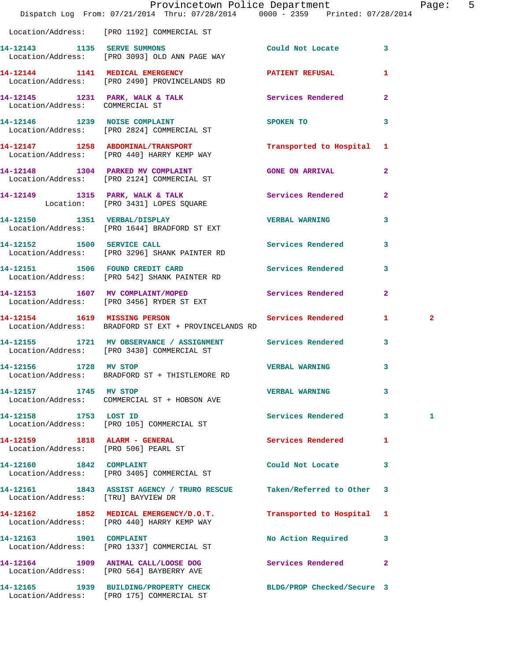|                                      | Provincetown Police Department Fage: 5<br>Dispatch Log From: 07/21/2014 Thru: 07/28/2014 0000 - 2359 Printed: 07/28/2014 |                           |                |                |  |
|--------------------------------------|--------------------------------------------------------------------------------------------------------------------------|---------------------------|----------------|----------------|--|
|                                      | Location/Address: [PRO 1192] COMMERCIAL ST                                                                               |                           |                |                |  |
|                                      | 14-12143 1135 SERVE SUMMONS<br>Location/Address: [PRO 3093] OLD ANN PAGE WAY                                             | Could Not Locate 3        |                |                |  |
|                                      | 14-12144 1141 MEDICAL EMERGENCY PATIENT REFUSAL<br>Location/Address: [PRO 2490] PROVINCELANDS RD                         |                           | $\mathbf{1}$   |                |  |
| Location/Address: COMMERCIAL ST      | 14-12145 1231 PARK, WALK & TALK 6 Services Rendered 2                                                                    |                           |                |                |  |
|                                      | 14-12146 1239 NOISE COMPLAINT SPOKEN TO<br>Location/Address: [PRO 2824] COMMERCIAL ST                                    |                           | 3              |                |  |
|                                      | 14-12147 1258 ABDOMINAL/TRANSPORT Transported to Hospital 1<br>Location/Address: [PRO 440] HARRY KEMP WAY                |                           |                |                |  |
|                                      | 14-12148 1304 PARKED MV COMPLAINT<br>Location/Address: [PRO 2124] COMMERCIAL ST                                          | <b>GONE ON ARRIVAL</b>    | $\mathbf{2}$   |                |  |
|                                      | 14-12149 1315 PARK, WALK & TALK 1998 Services Rendered<br>Location: [PRO 3431] LOPES SQUARE                              |                           | $\overline{a}$ |                |  |
|                                      | 14-12150 1351 VERBAL/DISPLAY<br>Location/Address: [PRO 1644] BRADFORD ST EXT                                             | <b>VERBAL WARNING</b>     | 3              |                |  |
|                                      | 14-12152 1500 SERVICE CALL<br>Location/Address: [PRO 3296] SHANK PAINTER RD                                              | Services Rendered 3       |                |                |  |
|                                      | 14-12151 1506 FOUND CREDIT CARD Services Rendered 3<br>Location/Address: [PRO 542] SHANK PAINTER RD                      |                           |                |                |  |
|                                      | 14-12153 1607 MV COMPLAINT/MOPED Services Rendered<br>Location/Address: [PRO 3456] RYDER ST EXT                          |                           | $\overline{2}$ |                |  |
|                                      | 14-12154 1619 MISSING PERSON Services Rendered 1<br>Location/Address: BRADFORD ST EXT + PROVINCELANDS RD                 |                           |                | $\overline{2}$ |  |
|                                      | 14-12155 1721 MV OBSERVANCE / ASSIGNMENT Services Rendered 3<br>Location/Address: [PRO 3430] COMMERCIAL ST               |                           |                |                |  |
| 14-12156 1728 MV STOP                | Location/Address: BRADFORD ST + THISTLEMORE RD                                                                           | VERBAL WARNING 3          |                |                |  |
| 14-12157 1745 MV STOP                | Location/Address: COMMERCIAL ST + HOBSON AVE                                                                             | <b>VERBAL WARNING</b>     | 3              |                |  |
| 14-12158 1753 LOST ID                | Location/Address: [PRO 105] COMMERCIAL ST                                                                                | Services Rendered 3       |                | 1              |  |
| Location/Address: [PRO 506] PEARL ST | 14-12159 1818 ALARM - GENERAL                                                                                            | Services Rendered         | 1              |                |  |
| 14-12160 1842 COMPLAINT              | Location/Address: [PRO 3405] COMMERCIAL ST                                                                               | Could Not Locate          | 3              |                |  |
| Location/Address: [TRU] BAYVIEW DR   | 14-12161 1843 ASSIST AGENCY / TRURO RESCUE                                                                               | Taken/Referred to Other 3 |                |                |  |
|                                      | 14-12162 1852 MEDICAL EMERGENCY/D.O.T.<br>Location/Address: [PRO 440] HARRY KEMP WAY                                     | Transported to Hospital 1 |                |                |  |
|                                      | 14-12163 1901 COMPLAINT<br>Location/Address: [PRO 1337] COMMERCIAL ST                                                    | No Action Required 3      |                |                |  |
|                                      | 14-12164 1909 ANIMAL CALL/LOOSE DOG Services Rendered<br>Location/Address: [PRO 564] BAYBERRY AVE                        |                           | $\overline{2}$ |                |  |
|                                      | 14-12165 1939 BUILDING/PROPERTY CHECK BLDG/PROP Checked/Secure 3<br>Location/Address: [PRO 175] COMMERCIAL ST            |                           |                |                |  |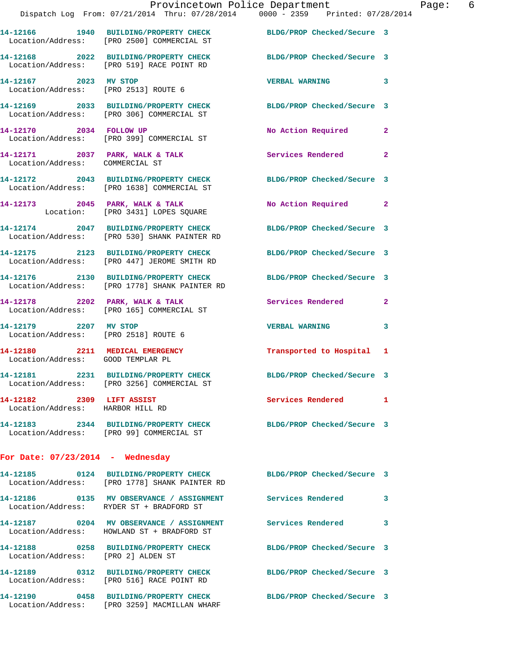|                                                                      | Provincetown Police Department<br>Dispatch Log From: 07/21/2014 Thru: 07/28/2014 0000 - 2359 Printed: 07/28/2014  |                            |                |
|----------------------------------------------------------------------|-------------------------------------------------------------------------------------------------------------------|----------------------------|----------------|
|                                                                      | 14-12166 1940 BUILDING/PROPERTY CHECK BLDG/PROP Checked/Secure 3<br>Location/Address: [PRO 2500] COMMERCIAL ST    |                            |                |
|                                                                      | 14-12168 2022 BUILDING/PROPERTY CHECK<br>Location/Address: [PRO 519] RACE POINT RD                                | BLDG/PROP Checked/Secure 3 |                |
| 14-12167 2023 MV STOP                                                | Location/Address: [PRO 2513] ROUTE 6                                                                              | <b>VERBAL WARNING</b>      | 3              |
|                                                                      | 14-12169 2033 BUILDING/PROPERTY CHECK BLDG/PROP Checked/Secure 3<br>Location/Address: [PRO 306] COMMERCIAL ST     |                            |                |
|                                                                      | 14-12170 2034 FOLLOW UP<br>Location/Address: [PRO 399] COMMERCIAL ST                                              | No Action Required         | $\mathbf{2}$   |
| Location/Address: COMMERCIAL ST                                      | 14-12171 2037 PARK, WALK & TALK 2008 Services Rendered                                                            |                            | $\overline{a}$ |
|                                                                      | 14-12172 2043 BUILDING/PROPERTY CHECK<br>Location/Address: [PRO 1638] COMMERCIAL ST                               | BLDG/PROP Checked/Secure 3 |                |
|                                                                      | 14-12173 2045 PARK, WALK & TALK<br>Location: [PRO 3431] LOPES SQUARE                                              | No Action Required         | $\mathbf{2}$   |
|                                                                      | 14-12174 2047 BUILDING/PROPERTY CHECK<br>Location/Address: [PRO 530] SHANK PAINTER RD                             | BLDG/PROP Checked/Secure 3 |                |
|                                                                      | 14-12175 2123 BUILDING/PROPERTY CHECK BLDG/PROP Checked/Secure 3<br>Location/Address: [PRO 447] JEROME SMITH RD   |                            |                |
|                                                                      | 14-12176 2130 BUILDING/PROPERTY CHECK<br>Location/Address: [PRO 1778] SHANK PAINTER RD                            | BLDG/PROP Checked/Secure 3 |                |
|                                                                      | 14-12178 2202 PARK, WALK & TALK<br>Location/Address: [PRO 165] COMMERCIAL ST                                      | <b>Services Rendered</b>   | $\mathbf{2}$   |
| 14-12179 2207 MV STOP<br>Location/Address: [PRO 2518] ROUTE 6        |                                                                                                                   | <b>VERBAL WARNING</b>      | 3              |
| 14-12180 2211 MEDICAL EMERGENCY<br>Location/Address: GOOD TEMPLAR PL |                                                                                                                   | Transported to Hospital 1  |                |
|                                                                      | 14-12181 2231 BUILDING/PROPERTY CHECK<br>Location/Address: [PRO 3256] COMMERCIAL ST                               | BLDG/PROP Checked/Secure 3 |                |
| 14-12182 2309 LIFT ASSIST<br>Location/Address: HARBOR HILL RD        |                                                                                                                   | <b>Services Rendered</b>   | 1              |
|                                                                      | 14-12183 2344 BUILDING/PROPERTY CHECK BLDG/PROP Checked/Secure 3<br>Location/Address: [PRO 99] COMMERCIAL ST      |                            |                |
| For Date: $07/23/2014$ - Wednesday                                   |                                                                                                                   |                            |                |
|                                                                      | 14-12185 0124 BUILDING/PROPERTY CHECK BLDG/PROP Checked/Secure 3<br>Location/Address: [PRO 1778] SHANK PAINTER RD |                            |                |
|                                                                      | Location/Address: RYDER ST + BRADFORD ST                                                                          |                            | 3              |
|                                                                      | 14-12187 0204 MV OBSERVANCE / ASSIGNMENT Services Rendered<br>Location/Address: HOWLAND ST + BRADFORD ST          |                            | 3              |
| Location/Address: [PRO 2] ALDEN ST                                   | 14-12188 0258 BUILDING/PROPERTY CHECK                                                                             | BLDG/PROP Checked/Secure 3 |                |
|                                                                      | 14-12189 0312 BUILDING/PROPERTY CHECK                                                                             | BLDG/PROP Checked/Secure 3 |                |

**14-12190 0458 BUILDING/PROPERTY CHECK BLDG/PROP Checked/Secure 3**  Location/Address: [PRO 3259] MACMILLAN WHARF

Location/Address: [PRO 516] RACE POINT RD

Page: 6<br> $\frac{14}{9}$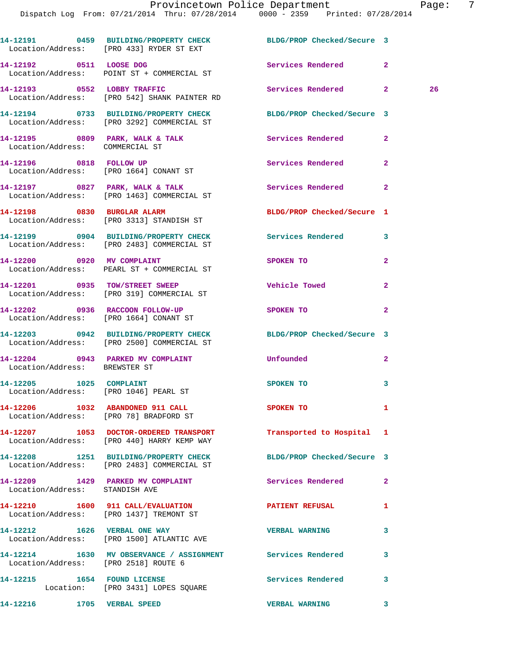|                                      | 14-12191 0459 BUILDING/PROPERTY CHECK BLDG/PROP Checked/Secure 3<br>Location/Address: [PRO 433] RYDER ST EXT   |                            |                |
|--------------------------------------|----------------------------------------------------------------------------------------------------------------|----------------------------|----------------|
|                                      | 14-12192 0511 LOOSE DOG<br>Location/Address: POINT ST + COMMERCIAL ST                                          | Services Rendered 2        |                |
|                                      | 14-12193 0552 LOBBY TRAFFIC<br>Location/Address: [PRO 542] SHANK PAINTER RD                                    | Services Rendered 2        | 26             |
|                                      | 14-12194 0733 BUILDING/PROPERTY CHECK BLDG/PROP Checked/Secure 3<br>Location/Address: [PRO 3292] COMMERCIAL ST |                            |                |
| Location/Address: COMMERCIAL ST      | 14-12195 0809 PARK, WALK & TALK Services Rendered                                                              |                            | $\overline{2}$ |
|                                      | 14-12196 0818 FOLLOW UP<br>Location/Address: [PRO 1664] CONANT ST                                              | Services Rendered          | $\mathbf{2}$   |
|                                      | 14-12197 0827 PARK, WALK & TALK<br>Location/Address: [PRO 1463] COMMERCIAL ST                                  | Services Rendered          | $\mathbf{2}$   |
|                                      | 14-12198 0830 BURGLAR ALARM<br>Location/Address: [PRO 3313] STANDISH ST                                        | BLDG/PROP Checked/Secure 1 |                |
|                                      | 14-12199 0904 BUILDING/PROPERTY CHECK Services Rendered 3<br>Location/Address: [PRO 2483] COMMERCIAL ST        |                            |                |
|                                      | 14-12200 0920 MV COMPLAINT<br>Location/Address: PEARL ST + COMMERCIAL ST                                       | SPOKEN TO                  | $\mathbf{2}$   |
|                                      | 14-12201 0935 TOW/STREET SWEEP<br>Location/Address: [PRO 319] COMMERCIAL ST                                    | Vehicle Towed              | $\overline{2}$ |
|                                      | 14-12202 0936 RACCOON FOLLOW-UP<br>Location/Address: [PRO 1664] CONANT ST                                      | SPOKEN TO                  | $\mathbf{2}$   |
|                                      | 14-12203 0942 BUILDING/PROPERTY CHECK BLDG/PROP Checked/Secure 3<br>Location/Address: [PRO 2500] COMMERCIAL ST |                            |                |
| Location/Address: BREWSTER ST        | 14-12204 0943 PARKED MV COMPLAINT Unfounded                                                                    |                            | $\overline{2}$ |
| 14-12205 1025 COMPLAINT              | Location/Address: [PRO 1046] PEARL ST                                                                          | <b>SPOKEN TO</b>           | 3              |
|                                      | 14-12206 1032 ABANDONED 911 CALL<br>Location/Address: [PRO 78] BRADFORD ST                                     | SPOKEN TO                  | 1              |
|                                      | 14-12207 1053 DOCTOR-ORDERED TRANSPORT Transported to Hospital 1<br>Location/Address: [PRO 440] HARRY KEMP WAY |                            |                |
|                                      | 14-12208 1251 BUILDING/PROPERTY CHECK BLDG/PROP Checked/Secure 3<br>Location/Address: [PRO 2483] COMMERCIAL ST |                            |                |
| Location/Address: STANDISH AVE       | 14-12209 1429 PARKED MV COMPLAINT Services Rendered                                                            |                            | $\overline{2}$ |
|                                      | 14-12210 1600 911 CALL/EVALUATION PATIENT REFUSAL<br>Location/Address: [PRO 1437] TREMONT ST                   |                            | 1              |
|                                      | 14-12212 1626 VERBAL ONE WAY<br>Location/Address: [PRO 1500] ATLANTIC AVE                                      | <b>VERBAL WARNING</b>      | 3              |
| Location/Address: [PRO 2518] ROUTE 6 | 14-12214 1630 MV OBSERVANCE / ASSIGNMENT Services Rendered                                                     |                            | 3              |
|                                      | 14-12215 1654 FOUND LICENSE<br>Location: [PRO 3431] LOPES SQUARE                                               | Services Rendered          | 3              |
| 14-12216 1705 VERBAL SPEED           |                                                                                                                | <b>VERBAL WARNING</b>      | $\mathbf{3}$   |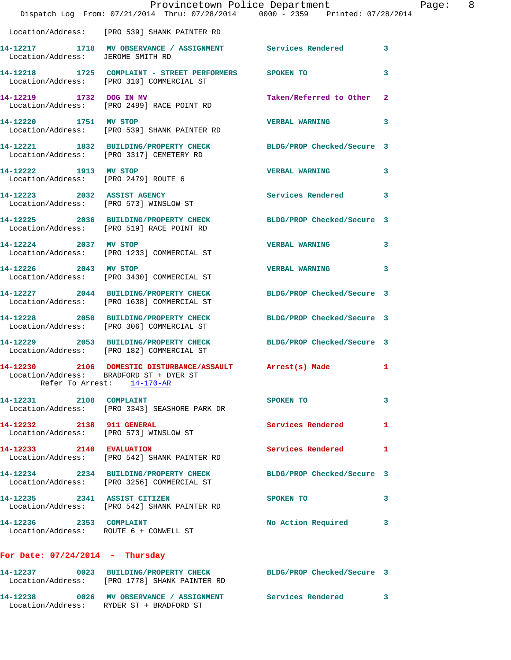|                                                                       | Provincetown Police Department                                                                                                     |                            |                |
|-----------------------------------------------------------------------|------------------------------------------------------------------------------------------------------------------------------------|----------------------------|----------------|
|                                                                       | Dispatch Log From: 07/21/2014 Thru: 07/28/2014 0000 - 2359 Printed: 07/28/2014                                                     |                            |                |
|                                                                       | Location/Address: [PRO 539] SHANK PAINTER RD                                                                                       |                            |                |
| Location/Address: JEROME SMITH RD                                     | 14-12217 1718 MV OBSERVANCE / ASSIGNMENT Services Rendered                                                                         |                            | 3              |
|                                                                       | 14-12218 1725 COMPLAINT - STREET PERFORMERS SPOKEN TO<br>Location/Address: [PRO 310] COMMERCIAL ST                                 |                            | 3              |
| 14-12219 1732 DOG IN MV                                               | Location/Address: [PRO 2499] RACE POINT RD                                                                                         | Taken/Referred to Other    | $\overline{2}$ |
| 14-12220 1751 MV STOP                                                 | Location/Address: [PRO 539] SHANK PAINTER RD                                                                                       | <b>VERBAL WARNING</b>      | 3              |
|                                                                       | 14-12221 1832 BUILDING/PROPERTY CHECK<br>Location/Address: [PRO 3317] CEMETERY RD                                                  | BLDG/PROP Checked/Secure 3 |                |
| 14-12222 1913 MV STOP<br>Location/Address: [PRO 2479] ROUTE 6         |                                                                                                                                    | <b>VERBAL WARNING</b>      | 3              |
| 14-12223 2032 ASSIST AGENCY<br>Location/Address: [PRO 573] WINSLOW ST |                                                                                                                                    | Services Rendered          | 3              |
|                                                                       | 14-12225 2036 BUILDING/PROPERTY CHECK<br>Location/Address: [PRO 519] RACE POINT RD                                                 | BLDG/PROP Checked/Secure 3 |                |
| 14-12224 2037 MV STOP                                                 | Location/Address: [PRO 1233] COMMERCIAL ST                                                                                         | <b>VERBAL WARNING</b>      | 3              |
| 14-12226 2043 MV STOP                                                 | Location/Address: [PRO 3430] COMMERCIAL ST                                                                                         | <b>VERBAL WARNING</b>      | 3              |
|                                                                       | 14-12227 2044 BUILDING/PROPERTY CHECK<br>Location/Address: [PRO 1638] COMMERCIAL ST                                                | BLDG/PROP Checked/Secure 3 |                |
|                                                                       | 14-12228 2050 BUILDING/PROPERTY CHECK<br>Location/Address: [PRO 306] COMMERCIAL ST                                                 | BLDG/PROP Checked/Secure 3 |                |
|                                                                       | 14-12229 2053 BUILDING/PROPERTY CHECK<br>Location/Address: [PRO 182] COMMERCIAL ST                                                 | BLDG/PROP Checked/Secure 3 |                |
|                                                                       | 14-12230 2106 DOMESTIC DISTURBANCE/ASSAULT Arrest(s) Made<br>Location/Address: BRADFORD ST + DYER ST<br>Refer To Arrest: 14-170-AR |                            | 1              |
| 14-12231 2108 COMPLAINT                                               | Location/Address: [PRO 3343] SEASHORE PARK DR                                                                                      | SPOKEN TO                  | 3              |
| 14-12232 2138 911 GENERAL                                             | Location/Address: [PRO 573] WINSLOW ST                                                                                             | Services Rendered          | 1              |
| 14-12233 2140 EVALUATION                                              | Location/Address: [PRO 542] SHANK PAINTER RD                                                                                       | <b>Services Rendered</b>   | 1              |
|                                                                       | 14-12234 2234 BUILDING/PROPERTY CHECK<br>Location/Address: [PRO 3256] COMMERCIAL ST                                                | BLDG/PROP Checked/Secure 3 |                |
|                                                                       | 14-12235 2341 ASSIST CITIZEN<br>Location/Address: [PRO 542] SHANK PAINTER RD                                                       | SPOKEN TO                  | 3              |
| 14-12236 2353 COMPLAINT                                               | Location/Address: ROUTE 6 + CONWELL ST                                                                                             | No Action Required         | 3              |
| For Date: $07/24/2014$ - Thursday                                     |                                                                                                                                    |                            |                |
|                                                                       | 14-12237 0023 BUILDING/PROPERTY CHECK BLDG/PROP Checked/Secure 3<br>Location/Address: [PRO 1778] SHANK PAINTER RD                  |                            |                |
|                                                                       | 14-12238 6026 MV OBSERVANCE / ASSIGNMENT Services Rendered                                                                         |                            | 3              |

Location/Address: RYDER ST + BRADFORD ST

Page: 8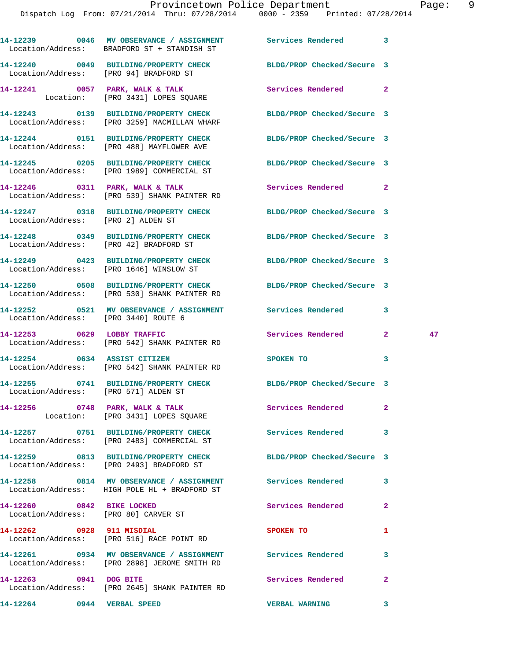|                                    | 14-12239 0046 MV OBSERVANCE / ASSIGNMENT Services Rendered 3<br>Location/Address: BRADFORD ST + STANDISH ST      |                            |                |    |
|------------------------------------|------------------------------------------------------------------------------------------------------------------|----------------------------|----------------|----|
|                                    | 14-12240 0049 BUILDING/PROPERTY CHECK<br>Location/Address: [PRO 94] BRADFORD ST                                  | BLDG/PROP Checked/Secure 3 |                |    |
|                                    | 14-12241 0057 PARK, WALK & TALK<br>Location: [PRO 3431] LOPES SQUARE                                             | Services Rendered 2        |                |    |
|                                    | 14-12243 0139 BUILDING/PROPERTY CHECK BLDG/PROP Checked/Secure 3<br>Location/Address: [PRO 3259] MACMILLAN WHARF |                            |                |    |
|                                    | 14-12244 0151 BUILDING/PROPERTY CHECK BLDG/PROP Checked/Secure 3<br>Location/Address: [PRO 488] MAYFLOWER AVE    |                            |                |    |
|                                    | 14-12245 0205 BUILDING/PROPERTY CHECK BLDG/PROP Checked/Secure 3<br>Location/Address: [PRO 1989] COMMERCIAL ST   |                            |                |    |
|                                    | 14-12246 0311 PARK, WALK & TALK<br>Location/Address: [PRO 539] SHANK PAINTER RD                                  | <b>Services Rendered</b> 2 |                |    |
| Location/Address: [PRO 2] ALDEN ST | 14-12247 0318 BUILDING/PROPERTY CHECK BLDG/PROP Checked/Secure 3                                                 |                            |                |    |
|                                    | 14-12248 0349 BUILDING/PROPERTY CHECK<br>Location/Address: [PRO 42] BRADFORD ST                                  | BLDG/PROP Checked/Secure 3 |                |    |
|                                    | 14-12249 0423 BUILDING/PROPERTY CHECK<br>Location/Address: [PRO 1646] WINSLOW ST                                 | BLDG/PROP Checked/Secure 3 |                |    |
|                                    | 14-12250 0508 BUILDING/PROPERTY CHECK<br>Location/Address: [PRO 530] SHANK PAINTER RD                            | BLDG/PROP Checked/Secure 3 |                |    |
|                                    | 14-12252 0521 MV OBSERVANCE / ASSIGNMENT Services Rendered<br>Location/Address: [PRO 3440] ROUTE 6               |                            | 3              |    |
|                                    | 14-12253 0629 LOBBY TRAFFIC<br>Location/Address: [PRO 542] SHANK PAINTER RD                                      | Services Rendered 2        |                | 47 |
|                                    | 14-12254 0634 ASSIST CITIZEN<br>Location/Address: [PRO 542] SHANK PAINTER RD                                     | SPOKEN TO                  | 3              |    |
|                                    | 14-12255 0741 BUILDING/PROPERTY CHECK BLDG/PROP Checked/Secure 3<br>Location/Address: [PRO 571] ALDEN ST         |                            |                |    |
|                                    | 14-12256 0748 PARK, WALK & TALK<br>Location: [PRO 3431] LOPES SQUARE                                             | Services Rendered          | 2              |    |
|                                    | 14-12257 0751 BUILDING/PROPERTY CHECK Services Rendered<br>Location/Address: [PRO 2483] COMMERCIAL ST            |                            | 3              |    |
|                                    | 14-12259 0813 BUILDING/PROPERTY CHECK BLDG/PROP Checked/Secure 3<br>Location/Address: [PRO 2493] BRADFORD ST     |                            |                |    |
|                                    | 14-12258 0814 MV OBSERVANCE / ASSIGNMENT Services Rendered<br>Location/Address: HIGH POLE HL + BRADFORD ST       |                            | 3              |    |
| 14-12260 0842 BIKE LOCKED          | Location/Address: [PRO 80] CARVER ST                                                                             | Services Rendered          | $\mathbf{2}$   |    |
| 14-12262 0928 911 MISDIAL          | Location/Address: [PRO 516] RACE POINT RD                                                                        | <b>SPOKEN TO</b>           | 1              |    |
|                                    | 14-12261 0934 MV OBSERVANCE / ASSIGNMENT Services Rendered<br>Location/Address: [PRO 2898] JEROME SMITH RD       |                            | 3              |    |
| 14-12263 0941 DOG BITE             | Location/Address: [PRO 2645] SHANK PAINTER RD                                                                    | Services Rendered          | $\overline{2}$ |    |
| 14-12264 0944 VERBAL SPEED         |                                                                                                                  | <b>VERBAL WARNING</b>      | 3              |    |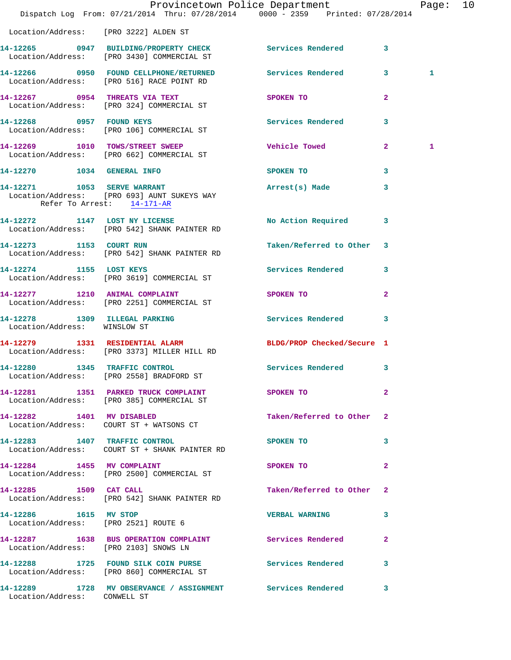|                                       | Dispatch Log From: 07/21/2014 Thru: 07/28/2014 0000 - 2359 Printed: 07/28/2014                          | Provincetown Police Department          |                | Page: 10 |  |
|---------------------------------------|---------------------------------------------------------------------------------------------------------|-----------------------------------------|----------------|----------|--|
| Location/Address: [PRO 3222] ALDEN ST |                                                                                                         |                                         |                |          |  |
|                                       | 14-12265 0947 BUILDING/PROPERTY CHECK Services Rendered 3<br>Location/Address: [PRO 3430] COMMERCIAL ST |                                         |                |          |  |
|                                       | 14-12266 0950 FOUND CELLPHONE/RETURNED Services Rendered 3<br>Location/Address: [PRO 516] RACE POINT RD |                                         |                | 1        |  |
|                                       | 14-12267 0954 THREATS VIA TEXT<br>Location/Address: [PRO 324] COMMERCIAL ST                             | SPOKEN TO DESCRIPTION OF REAL PROPERTY. | $\overline{2}$ |          |  |
|                                       | 14-12268 0957 FOUND KEYS<br>Location/Address: [PRO 106] COMMERCIAL ST                                   | <b>Services Rendered</b>                | 3              |          |  |
|                                       | 14-12269 1010 TOWS/STREET SWEEP<br>Location/Address: [PRO 662] COMMERCIAL ST                            | <b>Vehicle Towed</b>                    | $\mathbf{2}$   | 1        |  |
| 14-12270 1034 GENERAL INFO            |                                                                                                         | SPOKEN TO                               | 3              |          |  |
| Refer To Arrest: 14-171-AR            | 14-12271 1053 SERVE WARRANT<br>Location/Address: [PRO 693] AUNT SUKEYS WAY                              | Arrest(s) Made                          | 3              |          |  |
|                                       | 14-12272 1147 LOST NY LICENSE<br>Location/Address: [PRO 542] SHANK PAINTER RD                           | No Action Required 3                    |                |          |  |
| 14-12273 1153 COURT RUN               | Location/Address: [PRO 542] SHANK PAINTER RD                                                            | Taken/Referred to Other 3               |                |          |  |
|                                       | 14-12274 1155 LOST KEYS<br>Location/Address: [PRO 3619] COMMERCIAL ST                                   | Services Rendered 3                     |                |          |  |
| 14-12277 1210 ANIMAL COMPLAINT        | Location/Address: [PRO 2251] COMMERCIAL ST                                                              | SPOKEN TO                               | $\overline{2}$ |          |  |
| Location/Address: WINSLOW ST          | 14-12278 1309 ILLEGAL PARKING                                                                           | Services Rendered 3                     |                |          |  |
|                                       | 14-12279 1331 RESIDENTIAL ALARM<br>Location/Address: [PRO 3373] MILLER HILL RD                          | BLDG/PROP Checked/Secure 1              |                |          |  |
| 14-12280 1345 TRAFFIC CONTROL         | Location/Address: [PRO 2558] BRADFORD ST                                                                | Services Rendered 3                     |                |          |  |
|                                       | 14-12281 1351 PARKED TRUCK COMPLAINT<br>Location/Address: [PRO 385] COMMERCIAL ST                       | SPOKEN TO DESCRIPTION OF REAL PROPERTY. | $\mathbf{2}$   |          |  |
|                                       | 14-12282 1401 MV DISABLED<br>Location/Address: COURT ST + WATSONS CT                                    | Taken/Referred to Other 2               |                |          |  |
|                                       | 14-12283 1407 TRAFFIC CONTROL<br>Location/Address: COURT ST + SHANK PAINTER RD                          | SPOKEN TO                               | 3              |          |  |
|                                       | 14-12284 1455 MV COMPLAINT<br>Location/Address: [PRO 2500] COMMERCIAL ST                                | SPOKEN TO                               | $\mathbf{2}$   |          |  |
| 14-12285 1509 CAT CALL                | Location/Address: [PRO 542] SHANK PAINTER RD                                                            | Taken/Referred to Other 2               |                |          |  |
| 14-12286 1615 MV STOP                 | Location/Address: [PRO 2521] ROUTE 6                                                                    | <b>VERBAL WARNING</b>                   | 3              |          |  |
| Location/Address: [PRO 2103] SNOWS LN | 14-12287 1638 BUS OPERATION COMPLAINT Services Rendered 2                                               |                                         |                |          |  |
|                                       | 14-12288 1725 FOUND SILK COIN PURSE Services Rendered 3<br>Location/Address: [PRO 860] COMMERCIAL ST    |                                         |                |          |  |
| Location/Address: CONWELL ST          | 14-12289 1728 MV OBSERVANCE / ASSIGNMENT Services Rendered 3                                            |                                         |                |          |  |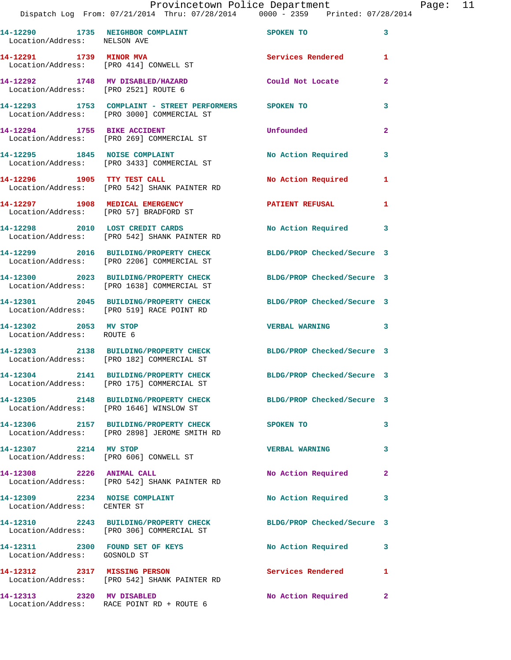## Provincetown Police Department Page: 11

| 14-12290 1735 NEIGHBOR COMPLAINT<br>Location/Address: NELSON AVE         |                                                                                                                | SPOKEN TO                  | 3            |
|--------------------------------------------------------------------------|----------------------------------------------------------------------------------------------------------------|----------------------------|--------------|
| 14-12291 1739 MINOR MVA                                                  | Location/Address: [PRO 414] CONWELL ST                                                                         | Services Rendered          | $\mathbf{1}$ |
| 14-12292 1748 MV DISABLED/HAZARD<br>Location/Address: [PRO 2521] ROUTE 6 |                                                                                                                | Could Not Locate           | 2            |
|                                                                          | 14-12293 1753 COMPLAINT - STREET PERFORMERS SPOKEN TO<br>Location/Address: [PRO 3000] COMMERCIAL ST            |                            | 3            |
|                                                                          | 14-12294 1755 BIKE ACCIDENT<br>Location/Address: [PRO 269] COMMERCIAL ST                                       | Unfounded                  | $\mathbf{2}$ |
|                                                                          | 14-12295 1845 NOISE COMPLAINT<br>Location/Address: [PRO 3433] COMMERCIAL ST                                    | No Action Required         | 3            |
| 14-12296 1905 TTY TEST CALL                                              | Location/Address: [PRO 542] SHANK PAINTER RD                                                                   | No Action Required         | $\mathbf{1}$ |
| 14-12297 1908 MEDICAL EMERGENCY                                          | Location/Address: [PRO 57] BRADFORD ST                                                                         | <b>PATIENT REFUSAL</b>     | 1            |
|                                                                          | 14-12298 2010 LOST CREDIT CARDS<br>Location/Address: [PRO 542] SHANK PAINTER RD                                | No Action Required 3       |              |
|                                                                          | 14-12299 2016 BUILDING/PROPERTY CHECK<br>Location/Address: [PRO 2206] COMMERCIAL ST                            | BLDG/PROP Checked/Secure 3 |              |
|                                                                          | 14-12300 2023 BUILDING/PROPERTY CHECK BLDG/PROP Checked/Secure 3<br>Location/Address: [PRO 1638] COMMERCIAL ST |                            |              |
|                                                                          | 14-12301 2045 BUILDING/PROPERTY CHECK<br>Location/Address: [PRO 519] RACE POINT RD                             | BLDG/PROP Checked/Secure 3 |              |
| 14-12302 2053 MV STOP<br>Location/Address: ROUTE 6                       |                                                                                                                | VERBAL WARNING 3           |              |
|                                                                          | 14-12303 2138 BUILDING/PROPERTY CHECK<br>Location/Address: [PRO 182] COMMERCIAL ST                             | BLDG/PROP Checked/Secure 3 |              |
|                                                                          | 14-12304 2141 BUILDING/PROPERTY CHECK<br>Location/Address: [PRO 175] COMMERCIAL ST                             | BLDG/PROP Checked/Secure 3 |              |
|                                                                          | 14-12305 2148 BUILDING/PROPERTY CHECK<br>Location/Address: [PRO 1646] WINSLOW ST                               | BLDG/PROP Checked/Secure 3 |              |
|                                                                          | 14-12306 2157 BUILDING/PROPERTY CHECK<br>Location/Address: [PRO 2898] JEROME SMITH RD                          | <b>SPOKEN TO</b>           | 3            |
| 14-12307 2214 MV STOP<br>Location/Address: [PRO 606] CONWELL ST          |                                                                                                                | <b>VERBAL WARNING</b>      | $\mathbf{3}$ |
| 14-12308 2226 ANIMAL CALL                                                | Location/Address: [PRO 542] SHANK PAINTER RD                                                                   | No Action Required 2       |              |
| 14-12309 2234 NOISE COMPLAINT<br>Location/Address: CENTER ST             |                                                                                                                | No Action Required         | 3            |
|                                                                          | 14-12310 2243 BUILDING/PROPERTY CHECK BLDG/PROP Checked/Secure 3<br>Location/Address: [PRO 306] COMMERCIAL ST  |                            |              |
| Location/Address: GOSNOLD ST                                             | 14-12311 2300 FOUND SET OF KEYS                                                                                | No Action Required         | 3            |
| 14-12312 2317 MISSING PERSON                                             | Location/Address: [PRO 542] SHANK PAINTER RD                                                                   | Services Rendered          | 1            |
| 14-12313 2320 MV DISABLED                                                | Location/Address: RACE POINT RD + ROUTE 6                                                                      | No Action Required 2       |              |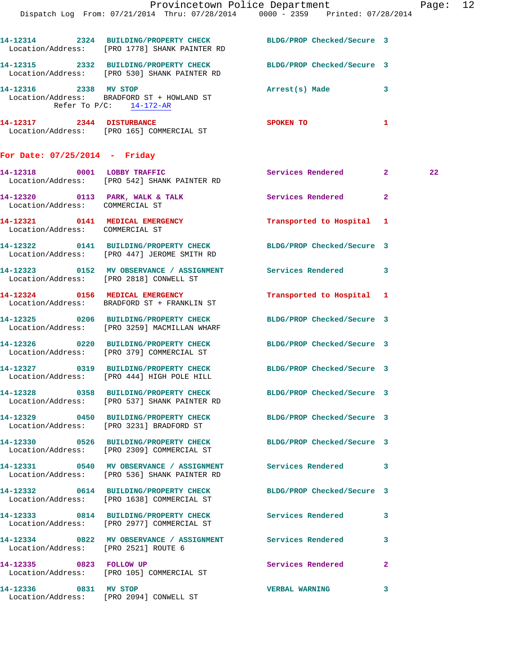|                                                       | Dispatch Log From: 07/21/2014 Thru: 07/28/2014 0000 - 2359 Printed: 07/28/2014                                    | Provincetown Police Department |              | Page: 12 |  |
|-------------------------------------------------------|-------------------------------------------------------------------------------------------------------------------|--------------------------------|--------------|----------|--|
|                                                       | 14-12314 2324 BUILDING/PROPERTY CHECK BLDG/PROP Checked/Secure 3<br>Location/Address: [PRO 1778] SHANK PAINTER RD |                                |              |          |  |
|                                                       | 14-12315 2332 BUILDING/PROPERTY CHECK BLDG/PROP Checked/Secure 3<br>Location/Address: [PRO 530] SHANK PAINTER RD  |                                |              |          |  |
| 14-12316 2338 MV STOP<br>Refer To $P/C$ : $14-172-AR$ | Location/Address: BRADFORD ST + HOWLAND ST                                                                        | Arrest(s) Made                 | 3            |          |  |
|                                                       | 14-12317 2344 DISTURBANCE<br>Location/Address: [PRO 165] COMMERCIAL ST                                            | <b>SPOKEN TO</b>               | 1.           |          |  |
| For Date: $07/25/2014$ - Friday                       |                                                                                                                   |                                |              |          |  |
|                                                       | 14-12318 0001 LOBBY TRAFFIC<br>Location/Address: [PRO 542] SHANK PAINTER RD                                       | Services Rendered 2            |              | $22 \,$  |  |
| Location/Address: COMMERCIAL ST                       | 14-12320 0113 PARK, WALK & TALK Services Rendered 2                                                               |                                |              |          |  |
| Location/Address: COMMERCIAL ST                       | 14-12321 0141 MEDICAL EMERGENCY                                                                                   | Transported to Hospital 1      |              |          |  |
|                                                       | 14-12322 0141 BUILDING/PROPERTY CHECK<br>Location/Address: [PRO 447] JEROME SMITH RD                              | BLDG/PROP Checked/Secure 3     |              |          |  |
|                                                       | 14-12323 0152 MV OBSERVANCE / ASSIGNMENT Services Rendered 3<br>Location/Address: [PRO 2818] CONWELL ST           |                                |              |          |  |
|                                                       | 14-12324 0156 MEDICAL EMERGENCY<br>Location/Address: BRADFORD ST + FRANKLIN ST                                    | Transported to Hospital 1      |              |          |  |
|                                                       | 14-12325 0206 BUILDING/PROPERTY CHECK<br>Location/Address: [PRO 3259] MACMILLAN WHARF                             | BLDG/PROP Checked/Secure 3     |              |          |  |
|                                                       | 14-12326 0220 BUILDING/PROPERTY CHECK BLDG/PROP Checked/Secure 3<br>Location/Address: [PRO 379] COMMERCIAL ST     |                                |              |          |  |
|                                                       | 14-12327 0319 BUILDING/PROPERTY CHECK BLDG/PROP Checked/Secure 3<br>Location/Address: [PRO 444] HIGH POLE HILL    |                                |              |          |  |
|                                                       | 14-12328 0358 BUILDING/PROPERTY CHECK BLDG/PROP Checked/Secure 3<br>Location/Address: [PRO 537] SHANK PAINTER RD  |                                |              |          |  |
|                                                       | 14-12329 0450 BUILDING/PROPERTY CHECK BLDG/PROP Checked/Secure 3<br>Location/Address: [PRO 3231] BRADFORD ST      |                                |              |          |  |
|                                                       | 14-12330 0526 BUILDING/PROPERTY CHECK BLDG/PROP Checked/Secure 3<br>Location/Address: [PRO 2309] COMMERCIAL ST    |                                |              |          |  |
|                                                       | 14-12331 0540 MV OBSERVANCE / ASSIGNMENT Services Rendered 3<br>Location/Address: [PRO 536] SHANK PAINTER RD      |                                |              |          |  |
|                                                       | 14-12332 0614 BUILDING/PROPERTY CHECK BLDG/PROP Checked/Secure 3<br>Location/Address: [PRO 1638] COMMERCIAL ST    |                                |              |          |  |
|                                                       | 14-12333 0814 BUILDING/PROPERTY CHECK Services Rendered 3<br>Location/Address: [PRO 2977] COMMERCIAL ST           |                                |              |          |  |
| Location/Address: [PRO 2521] ROUTE 6                  | 14-12334 0822 MV OBSERVANCE / ASSIGNMENT Services Rendered 3                                                      |                                |              |          |  |
|                                                       | 14-12335 0823 FOLLOW UP<br>Location/Address: [PRO 105] COMMERCIAL ST                                              | Services Rendered 2            |              |          |  |
| 14-12336 0831 MV STOP                                 | Location/Address: [PRO 2094] CONWELL ST                                                                           | <b>VERBAL WARNING</b>          | $\mathbf{3}$ |          |  |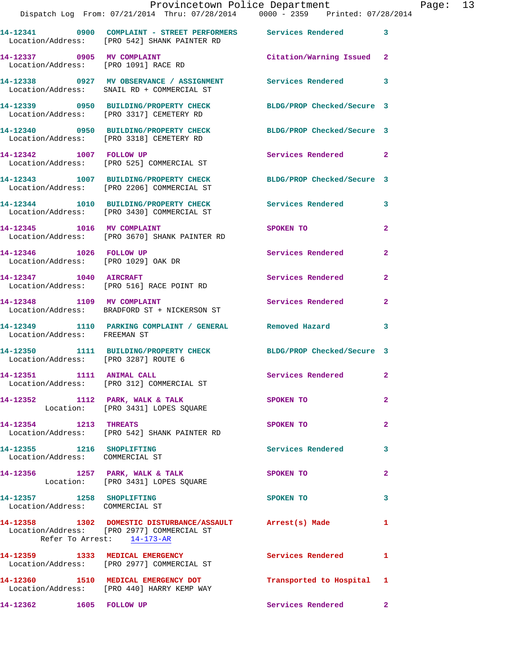|                                                                      | Dispatch Log From: 07/21/2014 Thru: 07/28/2014   0000 - 2359   Printed: 07/28/2014                                         | Provincetown Police Department Page: 13 |                |  |
|----------------------------------------------------------------------|----------------------------------------------------------------------------------------------------------------------------|-----------------------------------------|----------------|--|
|                                                                      | 14-12341 0900 COMPLAINT - STREET PERFORMERS Services Rendered 3<br>Location/Address: [PRO 542] SHANK PAINTER RD            |                                         |                |  |
|                                                                      | 14-12337 0905 MV COMPLAINT<br>Location/Address: [PRO 1091] RACE RD                                                         | Citation/Warning Issued 2               |                |  |
|                                                                      | 14-12338     0927 MV OBSERVANCE / ASSIGNMENT      Services Rendered      3<br>Location/Address:   SNAIL RD + COMMERCIAL ST |                                         |                |  |
|                                                                      | 14-12339 0950 BUILDING/PROPERTY CHECK BLDG/PROP Checked/Secure 3<br>Location/Address: [PRO 3317] CEMETERY RD               |                                         |                |  |
|                                                                      | 14-12340 0950 BUILDING/PROPERTY CHECK BLDG/PROP Checked/Secure 3<br>Location/Address: [PRO 3318] CEMETERY RD               |                                         |                |  |
|                                                                      | 14-12342 1007 FOLLOW UP<br>Location/Address: [PRO 525] COMMERCIAL ST                                                       | Services Rendered 2                     |                |  |
|                                                                      | 14-12343 1007 BUILDING/PROPERTY CHECK BLDG/PROP Checked/Secure 3<br>Location/Address: [PRO 2206] COMMERCIAL ST             |                                         |                |  |
|                                                                      | 14-12344 1010 BUILDING/PROPERTY CHECK Services Rendered<br>Location/Address: [PRO 3430] COMMERCIAL ST                      |                                         | $\mathbf{3}$   |  |
|                                                                      | 14-12345 1016 MV COMPLAINT<br>Location/Address: [PRO 3670] SHANK PAINTER RD                                                | SPOKEN TO AND THE SPOKEN TO             | $\overline{2}$ |  |
| 14-12346    1026    FOLLOW UP<br>Location/Address: [PRO 1029] OAK DR |                                                                                                                            | Services Rendered                       | $\mathbf{2}$   |  |
| 14-12347 1040 AIRCRAFT                                               | Location/Address: [PRO 516] RACE POINT RD                                                                                  | Services Rendered                       | $\mathbf{2}$   |  |
|                                                                      | 14-12348 1109 MV COMPLAINT<br>Location/Address: BRADFORD ST + NICKERSON ST                                                 | Services Rendered                       | $\overline{2}$ |  |
| Location/Address: FREEMAN ST                                         | 14-12349 1110 PARKING COMPLAINT / GENERAL Removed Hazard                                                                   |                                         | 3              |  |
|                                                                      | 14-12350 1111 BUILDING/PROPERTY CHECK BLDG/PROP Checked/Secure 3<br>Location/Address: [PRO 3287] ROUTE 6                   |                                         |                |  |
|                                                                      | 14-12351 1111 ANIMAL CALL<br>Location/Address: [PRO 312] COMMERCIAL ST                                                     | Services Rendered 2                     |                |  |
|                                                                      | 14-12352 1112 PARK, WALK & TALK SPOKEN TO<br>Location: [PRO 3431] LOPES SQUARE                                             |                                         | $\overline{a}$ |  |
| 14-12354 1213 THREATS                                                | Location/Address: [PRO 542] SHANK PAINTER RD                                                                               | <b>SPOKEN TO</b>                        | $\mathbf{2}$   |  |
| 14-12355 1216 SHOPLIFTING<br>Location/Address: COMMERCIAL ST         |                                                                                                                            | Services Rendered                       | 3              |  |
|                                                                      | 14-12356 1257 PARK, WALK & TALK<br>Location: [PRO 3431] LOPES SQUARE                                                       | <b>SPOKEN TO</b>                        | $\mathbf{2}$   |  |
| 14-12357 1258 SHOPLIFTING<br>Location/Address: COMMERCIAL ST         |                                                                                                                            | SPOKEN TO                               | 3              |  |
| Refer To Arrest: 14-173-AR                                           | 14-12358 1302 DOMESTIC DISTURBANCE/ASSAULT Arrest(s) Made<br>Location/Address: [PRO 2977] COMMERCIAL ST                    |                                         | $\mathbf{1}$   |  |
|                                                                      | 14-12359 1333 MEDICAL EMERGENCY<br>Location/Address: [PRO 2977] COMMERCIAL ST                                              | Services Rendered 1                     |                |  |
|                                                                      | 14-12360 1510 MEDICAL EMERGENCY DOT Transported to Hospital 1<br>Location/Address: [PRO 440] HARRY KEMP WAY                |                                         |                |  |
| 14-12362 1605 FOLLOW UP                                              |                                                                                                                            | Services Rendered                       | $\mathbf{2}$   |  |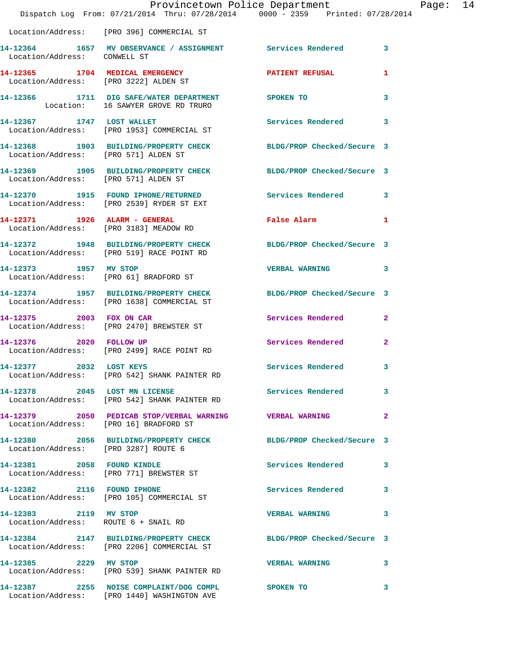|                                      | Provincetown Police Department The Page: 14<br>Dispatch Log From: 07/21/2014 Thru: 07/28/2014 0000 - 2359 Printed: 07/28/2014 |                          |                         |  |
|--------------------------------------|-------------------------------------------------------------------------------------------------------------------------------|--------------------------|-------------------------|--|
|                                      | Location/Address: [PRO 396] COMMERCIAL ST                                                                                     |                          |                         |  |
| Location/Address: CONWELL ST         | 14-12364 1657 MV OBSERVANCE / ASSIGNMENT Services Rendered 3                                                                  |                          |                         |  |
|                                      | 14-12365 1704 MEDICAL EMERGENCY PATIENT REFUSAL<br>Location/Address: [PRO 3222] ALDEN ST                                      |                          | 1                       |  |
|                                      | 14-12366 1711 DIG SAFE/WATER DEPARTMENT SPOKEN TO<br>Location: 16 SAWYER GROVE RD TRURO                                       |                          | 3                       |  |
|                                      | 14-12367 1747 LOST WALLET<br>Location/Address: [PRO 1953] COMMERCIAL ST                                                       | Services Rendered        | 3                       |  |
| Location/Address: [PRO 571] ALDEN ST | 14-12368 1903 BUILDING/PROPERTY CHECK BLDG/PROP Checked/Secure 3                                                              |                          |                         |  |
| Location/Address: [PRO 571] ALDEN ST | 14-12369 1905 BUILDING/PROPERTY CHECK BLDG/PROP Checked/Secure 3                                                              |                          |                         |  |
|                                      | 14-12370 1915 FOUND IPHONE/RETURNED<br>Location/Address: [PRO 2539] RYDER ST EXT                                              | Services Rendered 3      |                         |  |
|                                      | 14-12371 1926 ALARM - GENERAL<br>Location/Address: [PRO 3183] MEADOW RD                                                       | <b>False Alarm</b>       | 1                       |  |
|                                      | 14-12372 1948 BUILDING/PROPERTY CHECK BLDG/PROP Checked/Secure 3<br>Location/Address: [PRO 519] RACE POINT RD                 |                          |                         |  |
|                                      | 14-12373 1957 MV STOP<br>Location/Address: [PRO 61] BRADFORD ST                                                               | <b>VERBAL WARNING</b>    | $\overline{\mathbf{3}}$ |  |
|                                      | 14-12374 1957 BUILDING/PROPERTY CHECK BLDG/PROP Checked/Secure 3<br>Location/Address: [PRO 1638] COMMERCIAL ST                |                          |                         |  |
|                                      | 14-12375 2003 FOX ON CAR<br>Location/Address: [PRO 2470] BREWSTER ST                                                          | Services Rendered        | $\mathbf{2}$            |  |
| 14-12376 2020 FOLLOW UP              | Location/Address: [PRO 2499] RACE POINT RD                                                                                    | Services Rendered        | $\overline{2}$          |  |
| 14-12377 2032 LOST KEYS              | Location/Address: [PRO 542] SHANK PAINTER RD                                                                                  | Services Rendered        | 3                       |  |
|                                      | 14-12378 2045 LOST MN LICENSE<br>Location/Address: [PRO 542] SHANK PAINTER RD                                                 | Services Rendered        | $\mathbf{3}$            |  |
|                                      | 14-12379 2050 PEDICAB STOP/VERBAL WARNING VERBAL WARNING<br>Location/Address: [PRO 16] BRADFORD ST                            |                          | $\overline{a}$          |  |
| Location/Address: [PRO 3287] ROUTE 6 | 14-12380 2056 BUILDING/PROPERTY CHECK BLDG/PROP Checked/Secure 3                                                              |                          |                         |  |
|                                      | 14-12381 2058 FOUND KINDLE<br>Location/Address: [PRO 771] BREWSTER ST                                                         | <b>Services Rendered</b> | $\mathbf{3}$            |  |
|                                      | 14-12382 2116 FOUND IPHONE<br>Location/Address: [PRO 105] COMMERCIAL ST                                                       | Services Rendered 3      |                         |  |
|                                      | 14-12383 2119 MV STOP<br>Location/Address: ROUTE 6 + SNAIL RD                                                                 | <b>VERBAL WARNING</b>    | 3                       |  |
|                                      | 14-12384 2147 BUILDING/PROPERTY CHECK BLDG/PROP Checked/Secure 3<br>Location/Address: [PRO 2206] COMMERCIAL ST                |                          |                         |  |
|                                      | 14-12385 2229 MV STOP<br>Location/Address: [PRO 539] SHANK PAINTER RD                                                         | <b>VERBAL WARNING</b>    | 3                       |  |
|                                      | 14-12387 2255 NOISE COMPLAINT/DOG COMPL SPOKEN TO<br>Location/Address: [PRO 1440] WASHINGTON AVE                              |                          | 3                       |  |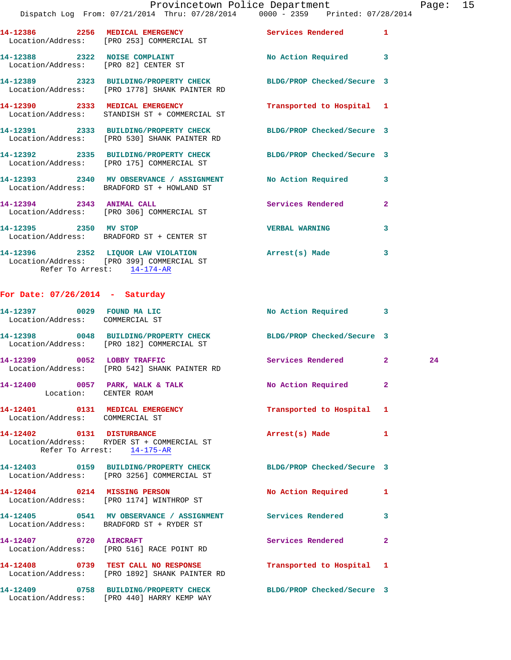## Provincetown Police Department Page: 15 Dispatch Log From: 07/21/2014 Thru: 07/28/2014 0000 - 2359 Printed: 07/28/2014

|                                                                       | 14-12386 2256 MEDICAL EMERGENCY<br>Location/Address: [PRO 253] COMMERCIAL ST                                      | <b>Services Rendered</b>  | $\mathbf{1}$            |
|-----------------------------------------------------------------------|-------------------------------------------------------------------------------------------------------------------|---------------------------|-------------------------|
| 14-12388 2322 NOISE COMPLAINT<br>Location/Address: [PRO 82] CENTER ST |                                                                                                                   | No Action Required 3      |                         |
|                                                                       | 14-12389 2323 BUILDING/PROPERTY CHECK BLDG/PROP Checked/Secure 3<br>Location/Address: [PRO 1778] SHANK PAINTER RD |                           |                         |
|                                                                       | 14-12390 2333 MEDICAL EMERGENCY<br>Location/Address: STANDISH ST + COMMERCIAL ST                                  | Transported to Hospital 1 |                         |
|                                                                       | 14-12391 2333 BUILDING/PROPERTY CHECK BLDG/PROP Checked/Secure 3<br>Location/Address: [PRO 530] SHANK PAINTER RD  |                           |                         |
|                                                                       | 14-12392 2335 BUILDING/PROPERTY CHECK BLDG/PROP Checked/Secure 3<br>Location/Address: [PRO 175] COMMERCIAL ST     |                           |                         |
|                                                                       | 14-12393 2340 MV OBSERVANCE / ASSIGNMENT No Action Required<br>Location/Address: BRADFORD ST + HOWLAND ST         |                           | 3                       |
| 14-12394 2343 ANIMAL CALL                                             | Location/Address: [PRO 306] COMMERCIAL ST                                                                         | Services Rendered         | $\overline{2}$          |
| 14-12395 2350 MV STOP                                                 | Location/Address: BRADFORD ST + CENTER ST                                                                         | <b>VERBAL WARNING</b>     | 3                       |
|                                                                       | 14-12396 2352 LIQUOR LAW VIOLATION<br>Location/Address: [PRO 399] COMMERCIAL ST                                   | Arrest(s) Made            | $\overline{\mathbf{3}}$ |

Refer To Arrest: 14-174-AR

## **For Date: 07/26/2014 - Saturday**

| 14-12397 0029 FOUND MA LIC<br>Location/Address: COMMERCIAL ST |                                                                                                                | No Action Required 3      |                         |    |
|---------------------------------------------------------------|----------------------------------------------------------------------------------------------------------------|---------------------------|-------------------------|----|
|                                                               | 14-12398 0048 BUILDING/PROPERTY CHECK BLDG/PROP Checked/Secure 3<br>Location/Address: [PRO 182] COMMERCIAL ST  |                           |                         |    |
|                                                               | 14-12399 0052 LOBBY TRAFFIC<br>Location/Address: [PRO 542] SHANK PAINTER RD                                    | Services Rendered         | $\overline{2}$          | 24 |
| Location: CENTER ROAM                                         | 14-12400 0057 PARK, WALK & TALK                                                                                | No Action Required        | $\overline{2}$          |    |
| Location/Address: COMMERCIAL ST                               | 14-12401 0131 MEDICAL EMERGENCY                                                                                | Transported to Hospital 1 |                         |    |
| Refer To Arrest: 14-175-AR                                    | 14-12402 0131 DISTURBANCE<br>Location/Address: RYDER ST + COMMERCIAL ST                                        | Arrest(s) Made            | 1                       |    |
|                                                               | 14-12403 0159 BUILDING/PROPERTY CHECK BLDG/PROP Checked/Secure 3<br>Location/Address: [PRO 3256] COMMERCIAL ST |                           |                         |    |
|                                                               | 14-12404 0214 MISSING PERSON<br>Location/Address: [PRO 1174] WINTHROP ST                                       | No Action Required        | 1                       |    |
|                                                               | 14-12405 0541 MV OBSERVANCE / ASSIGNMENT Services Rendered<br>Location/Address: BRADFORD ST + RYDER ST         |                           | $\overline{\mathbf{3}}$ |    |
| 14-12407 0720 AIRCRAFT                                        | Location/Address: [PRO 516] RACE POINT RD                                                                      | Services Rendered         | $\overline{2}$          |    |
|                                                               | 14-12408 0739 TEST CALL NO RESPONSE Transported to Hospital 1<br>Location/Address: [PRO 1892] SHANK PAINTER RD |                           |                         |    |
|                                                               | 14-12409 0758 BUILDING/PROPERTY CHECK BLDG/PROP Checked/Secure 3<br>Location/Address: [PRO 440] HARRY KEMP WAY |                           |                         |    |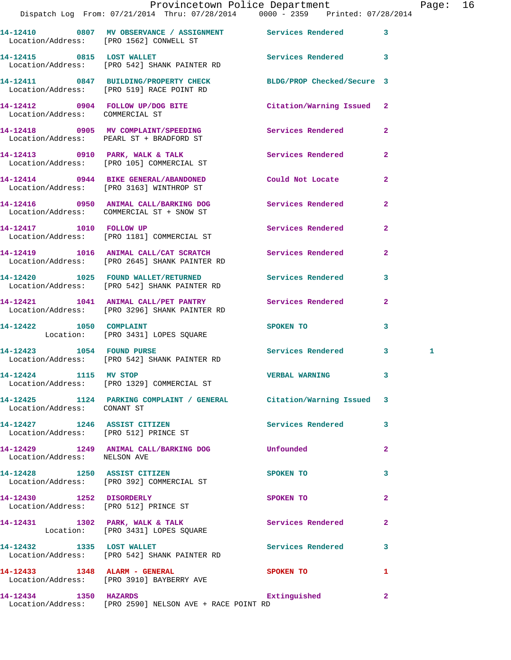|                                 | Provincetown Police Department The Rage: 16<br>Dispatch Log From: 07/21/2014 Thru: 07/28/2014   0000 - 2359   Printed: 07/28/2014 |                          |                |   |  |
|---------------------------------|-----------------------------------------------------------------------------------------------------------------------------------|--------------------------|----------------|---|--|
|                                 | 14-12410 0807 MV OBSERVANCE / ASSIGNMENT Services Rendered 3<br>Location/Address: [PRO 1562] CONWELL ST                           |                          |                |   |  |
|                                 | 14-12415 0815 LOST WALLET<br>Location/Address: [PRO 542] SHANK PAINTER RD                                                         | Services Rendered 3      |                |   |  |
|                                 | 14-12411 0847 BUILDING/PROPERTY CHECK BLDG/PROP Checked/Secure 3<br>Location/Address: [PRO 519] RACE POINT RD                     |                          |                |   |  |
| Location/Address: COMMERCIAL ST | 14-12412 0904 FOLLOW UP/DOG BITE Citation/Warning Issued 2                                                                        |                          |                |   |  |
|                                 | 14-12418 0905 MV COMPLAINT/SPEEDING Services Rendered 2<br>Location/Address: PEARL ST + BRADFORD ST                               |                          |                |   |  |
|                                 | 14-12413 0910 PARK, WALK & TALK 3 Services Rendered<br>Location/Address: [PRO 105] COMMERCIAL ST                                  |                          | $\overline{2}$ |   |  |
|                                 | 14-12414 0944 BIKE GENERAL/ABANDONED<br>Location/Address: [PRO 3163] WINTHROP ST                                                  | Could Not Locate         | $\mathbf{2}$   |   |  |
|                                 | 14-12416 0950 ANIMAL CALL/BARKING DOG Services Rendered<br>Location/Address: COMMERCIAL ST + SNOW ST                              |                          | $\mathbf{2}$   |   |  |
|                                 | 14-12417 1010 FOLLOW UP<br>Location/Address: [PRO 1181] COMMERCIAL ST                                                             | Services Rendered 2      |                |   |  |
|                                 | 14-12419 1016 ANIMAL CALL/CAT SCRATCH Services Rendered<br>Location/Address: [PRO 2645] SHANK PAINTER RD                          |                          | $\mathbf{2}$   |   |  |
|                                 | 14-12420 1025 FOUND WALLET/RETURNED Services Rendered 3<br>Location/Address: [PRO 542] SHANK PAINTER RD                           |                          |                |   |  |
|                                 | 14-12421 1041 ANIMAL CALL/PET PANTRY Services Rendered<br>Location/Address: [PRO 3296] SHANK PAINTER RD                           |                          | $\mathbf{2}$   |   |  |
| 14-12422 1050 COMPLAINT         | Location: [PRO 3431] LOPES SQUARE                                                                                                 | SPOKEN TO                | $\mathbf{3}$   |   |  |
|                                 | 14-12423 1054 FOUND PURSE<br>Location/Address: [PRO 542] SHANK PAINTER RD                                                         | Services Rendered 3      |                | 1 |  |
| 14-12424 1115 MV STOP           | Location/Address: [PRO 1329] COMMERCIAL ST                                                                                        | <b>VERBAL WARNING</b>    |                |   |  |
| Location/Address: CONANT ST     | 14-12425 1124 PARKING COMPLAINT / GENERAL Citation/Warning Issued 3                                                               |                          |                |   |  |
| 14-12427 1246 ASSIST CITIZEN    | Location/Address: [PRO 512] PRINCE ST                                                                                             | Services Rendered 3      |                |   |  |
| Location/Address: NELSON AVE    | 14-12429 1249 ANIMAL CALL/BARKING DOG Unfounded                                                                                   |                          | $\overline{2}$ |   |  |
|                                 | 14-12428 1250 ASSIST CITIZEN<br>Location/Address: [PRO 392] COMMERCIAL ST                                                         | SPOKEN TO                | 3              |   |  |
|                                 | 14-12430 1252 DISORDERLY<br>Location/Address: [PRO 512] PRINCE ST                                                                 | SPOKEN TO                | $\mathbf{2}$   |   |  |
|                                 | 14-12431 1302 PARK, WALK & TALK 1988 Services Rendered<br>Location: [PRO 3431] LOPES SQUARE                                       |                          | $\mathbf{2}$   |   |  |
|                                 | 14-12432 1335 LOST WALLET<br>Location/Address: [PRO 542] SHANK PAINTER RD                                                         | <b>Services Rendered</b> | 3              |   |  |
| 14-12433 1348 ALARM - GENERAL   | Location/Address: [PRO 3910] BAYBERRY AVE                                                                                         | SPOKEN TO                | 1              |   |  |
| 14-12434 1350 HAZARDS           |                                                                                                                                   | Extinguished             | $\mathbf{2}$   |   |  |

Location/Address: [PRO 2590] NELSON AVE + RACE POINT RD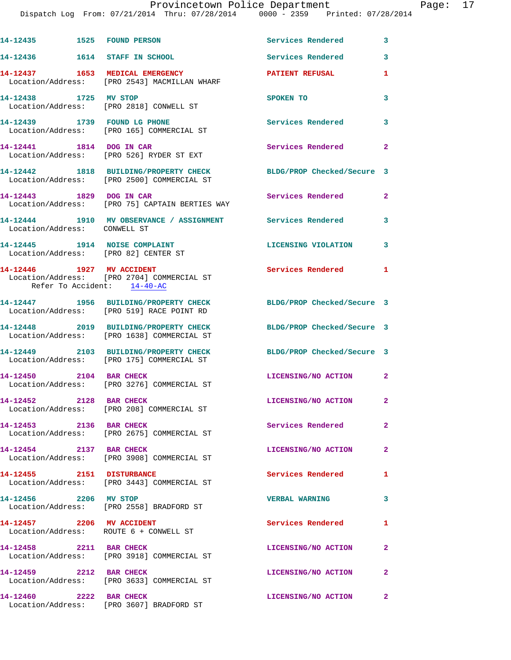| 14-12435    1525    FOUND PERSON                                      |                                                                                     | Services Rendered          | 3              |
|-----------------------------------------------------------------------|-------------------------------------------------------------------------------------|----------------------------|----------------|
| 14-12436   1614   STAFF IN SCHOOL                                     |                                                                                     | <b>Services Rendered</b>   | 3              |
|                                                                       | 14-12437 1653 MEDICAL EMERGENCY<br>Location/Address: [PRO 2543] MACMILLAN WHARF     | <b>PATIENT REFUSAL</b>     | 1              |
| 14-12438 1725 MV STOP                                                 | Location/Address: [PRO 2818] CONWELL ST                                             | SPOKEN TO                  | 3              |
|                                                                       | 14-12439 1739 FOUND LG PHONE<br>Location/Address: [PRO 165] COMMERCIAL ST           | <b>Services Rendered</b>   | 3              |
| 14-12441 1814 DOG IN CAR                                              | Location/Address: [PRO 526] RYDER ST EXT                                            | Services Rendered 2        |                |
|                                                                       | 14-12442 1818 BUILDING/PROPERTY CHECK<br>Location/Address: [PRO 2500] COMMERCIAL ST | BLDG/PROP Checked/Secure 3 |                |
| 14-12443 1829 DOG IN CAR                                              | Location/Address: [PRO 75] CAPTAIN BERTIES WAY                                      | Services Rendered          | $\mathbf{2}$   |
| Location/Address: CONWELL ST                                          | 14-12444 1910 MV OBSERVANCE / ASSIGNMENT Services Rendered                          |                            | 3              |
| 14-12445 1914 NOISE COMPLAINT<br>Location/Address: [PRO 82] CENTER ST |                                                                                     | LICENSING VIOLATION        | $\mathbf{3}$   |
| Refer To Accident: 14-40-AC                                           | 14-12446    1927 MV ACCIDENT<br>Location/Address: [PRO 2704] COMMERCIAL ST          | Services Rendered          | $\blacksquare$ |
|                                                                       | 14-12447 1956 BUILDING/PROPERTY CHECK<br>Location/Address: [PRO 519] RACE POINT RD  | BLDG/PROP Checked/Secure 3 |                |
|                                                                       | 14-12448 2019 BUILDING/PROPERTY CHECK<br>Location/Address: [PRO 1638] COMMERCIAL ST | BLDG/PROP Checked/Secure 3 |                |
|                                                                       | 14-12449 2103 BUILDING/PROPERTY CHECK<br>Location/Address: [PRO 175] COMMERCIAL ST  | BLDG/PROP Checked/Secure 3 |                |
| 14-12450 2104 BAR CHECK                                               | Location/Address: [PRO 3276] COMMERCIAL ST                                          | LICENSING/NO ACTION 2      |                |
| 14-12452 2128 BAR CHECK                                               | Location/Address: [PRO 208] COMMERCIAL ST                                           | LICENSING/NO ACTION        | $\mathbf{2}$   |
| 14-12453 2136 BAR CHECK                                               | Location/Address: [PRO 2675] COMMERCIAL ST                                          | Services Rendered          | $\mathbf{2}$   |
| 14-12454 2137 BAR CHECK                                               | Location/Address: [PRO 3908] COMMERCIAL ST                                          | LICENSING/NO ACTION        | $\mathbf{2}$   |
| 14-12455 2151 DISTURBANCE                                             | Location/Address: [PRO 3443] COMMERCIAL ST                                          | Services Rendered          | 1              |
| 14-12456 2206 MV STOP                                                 | Location/Address: [PRO 2558] BRADFORD ST                                            | <b>VERBAL WARNING</b>      | $\mathbf{3}$   |
| 14-12457 2206 MV ACCIDENT                                             | Location/Address: ROUTE 6 + CONWELL ST                                              | Services Rendered          | $\mathbf{1}$   |
| 14-12458 2211 BAR CHECK                                               | Location/Address: [PRO 3918] COMMERCIAL ST                                          | LICENSING/NO ACTION        | $\mathbf{2}$   |
| 14-12459 2212 BAR CHECK                                               | Location/Address: [PRO 3633] COMMERCIAL ST                                          | LICENSING/NO ACTION 2      |                |
| 14-12460 2222 BAR CHECK                                               | Location/Address: [PRO 3607] BRADFORD ST                                            | LICENSING/NO ACTION        | $\mathbf{2}$   |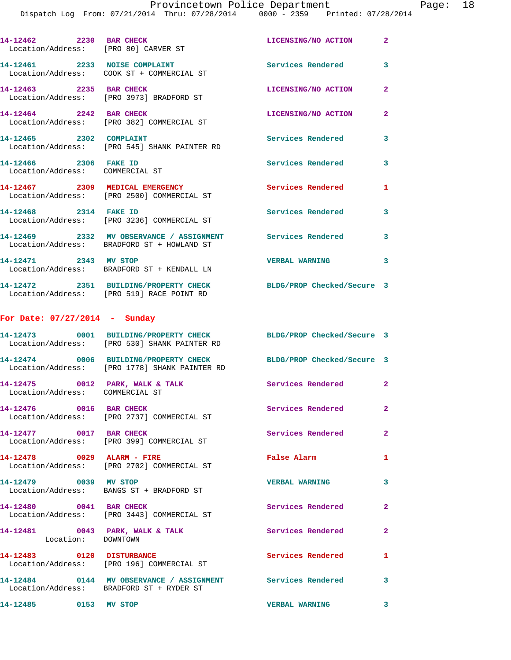Page:  $18$ <br>2014

|                                                          | Provincetown Police Department<br>Dispatch Log From: 07/21/2014 Thru: 07/28/2014 0000 - 2359 Printed: 07/28/2014  |                          |                |
|----------------------------------------------------------|-------------------------------------------------------------------------------------------------------------------|--------------------------|----------------|
| 14-12462 2230 BAR CHECK                                  | Location/Address: [PRO 80] CARVER ST                                                                              | LICENSING/NO ACTION      | $\overline{2}$ |
|                                                          | 14-12461 2233 NOISE COMPLAINT<br>Location/Address: COOK ST + COMMERCIAL ST                                        | <b>Services Rendered</b> | 3              |
| 14-12463 2235 BAR CHECK                                  | Location/Address: [PRO 3973] BRADFORD ST                                                                          | LICENSING/NO ACTION      | $\overline{a}$ |
|                                                          | 14-12464 2242 BAR CHECK<br>Location/Address: [PRO 382] COMMERCIAL ST                                              | LICENSING/NO ACTION      | $\mathbf{2}$   |
| 14-12465 2302 COMPLAINT                                  | Location/Address: [PRO 545] SHANK PAINTER RD                                                                      | <b>Services Rendered</b> | 3              |
| 14-12466 2306 FAKE ID<br>Location/Address: COMMERCIAL ST |                                                                                                                   | <b>Services Rendered</b> | 3              |
|                                                          | 14-12467 2309 MEDICAL EMERGENCY<br>Location/Address: [PRO 2500] COMMERCIAL ST                                     | <b>Services Rendered</b> | 1              |
| 14-12468 2314 FAKE ID                                    | Location/Address: [PRO 3236] COMMERCIAL ST                                                                        | Services Rendered        | 3              |
|                                                          | 14-12469 2332 MV OBSERVANCE / ASSIGNMENT Services Rendered<br>Location/Address: BRADFORD ST + HOWLAND ST          |                          | 3              |
| 14-12471 2343 MV STOP                                    | Location/Address: BRADFORD ST + KENDALL LN                                                                        | <b>VERBAL WARNING</b>    | 3              |
|                                                          | 14-12472 2351 BUILDING/PROPERTY CHECK BLDG/PROP Checked/Secure 3<br>Location/Address: [PRO 519] RACE POINT RD     |                          |                |
| For Date: $07/27/2014$ - Sunday                          |                                                                                                                   |                          |                |
|                                                          | 14-12473 0001 BUILDING/PROPERTY CHECK BLDG/PROP Checked/Secure 3<br>Location/Address: [PRO 530] SHANK PAINTER RD  |                          |                |
|                                                          | 14-12474 0006 BUILDING/PROPERTY CHECK BLDG/PROP Checked/Secure 3<br>Location/Address: [PRO 1778] SHANK PAINTER RD |                          |                |
| Location/Address: COMMERCIAL ST                          | 14-12475 0012 PARK, WALK & TALK Services Rendered                                                                 |                          | $\mathbf{2}$   |
| 14-12476 0016 BAR CHECK                                  | Location/Address: [PRO 2737] COMMERCIAL ST                                                                        | Services Rendered        | $\mathbf{2}$   |
| 14-12477 0017 BAR CHECK                                  | Location/Address: [PRO 399] COMMERCIAL ST                                                                         | Services Rendered        | $\overline{a}$ |
|                                                          | 14-12478 0029 ALARM - FIRE<br>Location/Address: [PRO 2702] COMMERCIAL ST                                          | False Alarm              | 1              |
| 14-12479 0039 MV STOP                                    | Location/Address: BANGS ST + BRADFORD ST                                                                          | <b>VERBAL WARNING</b>    | 3              |
| 14-12480 0041 BAR CHECK                                  | Location/Address: [PRO 3443] COMMERCIAL ST                                                                        | <b>Services Rendered</b> | $\mathbf{2}$   |
| Location: DOWNTOWN                                       | 14-12481 0043 PARK, WALK & TALK 1999 Services Rendered                                                            |                          | $\mathbf{2}$   |
|                                                          | 14-12483 0120 DISTURBANCE<br>Location/Address: [PRO 196] COMMERCIAL ST                                            | <b>Services Rendered</b> | 1              |
|                                                          | 14-12484  0144 MV OBSERVANCE / ASSIGNMENT Services Rendered<br>Location/Address: BRADFORD ST + RYDER ST           |                          | 3              |
| 14-12485 0153 MV STOP                                    |                                                                                                                   | <b>VERBAL WARNING</b>    | 3              |
|                                                          |                                                                                                                   |                          |                |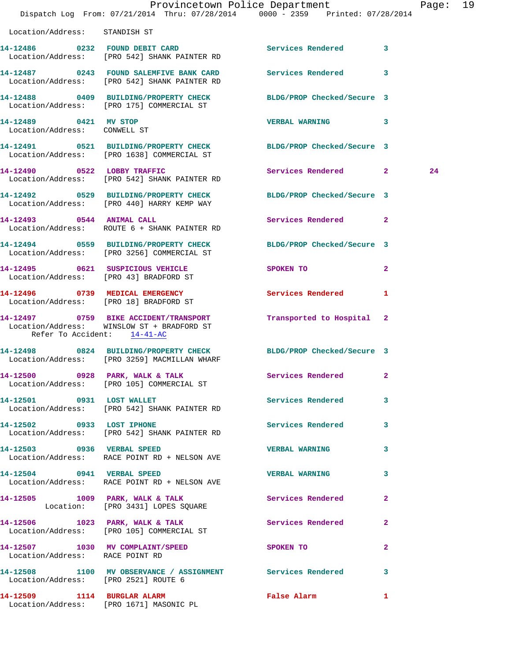|                                                       | Provincetown Police Department<br>Dispatch Log From: 07/21/2014 Thru: 07/28/2014   0000 - 2359   Printed: 07/28/2014 |                             |              | Page: 19 |  |
|-------------------------------------------------------|----------------------------------------------------------------------------------------------------------------------|-----------------------------|--------------|----------|--|
| Location/Address: STANDISH ST                         |                                                                                                                      |                             |              |          |  |
|                                                       | 14-12486 0232 FOUND DEBIT CARD<br>Location/Address: [PRO 542] SHANK PAINTER RD                                       | Services Rendered 3         |              |          |  |
|                                                       | 14-12487 0243 FOUND SALEMFIVE BANK CARD Services Rendered 3<br>Location/Address: [PRO 542] SHANK PAINTER RD          |                             |              |          |  |
|                                                       | 14-12488 0409 BUILDING/PROPERTY CHECK BLDG/PROP Checked/Secure 3<br>Location/Address: [PRO 175] COMMERCIAL ST        |                             |              |          |  |
| 14-12489 0421 MV STOP<br>Location/Address: CONWELL ST |                                                                                                                      | VERBAL WARNING 3            |              |          |  |
|                                                       | 14-12491 0521 BUILDING/PROPERTY CHECK BLDG/PROP Checked/Secure 3<br>Location/Address: [PRO 1638] COMMERCIAL ST       |                             |              |          |  |
|                                                       | 14-12490 0522 LOBBY TRAFFIC<br>Location/Address: [PRO 542] SHANK PAINTER RD                                          | Services Rendered 2         |              | 24       |  |
|                                                       | 14-12492 0529 BUILDING/PROPERTY CHECK BLDG/PROP Checked/Secure 3<br>Location/Address: [PRO 440] HARRY KEMP WAY       |                             |              |          |  |
|                                                       | 14-12493 0544 ANIMAL CALL<br>Location/Address: ROUTE 6 + SHANK PAINTER RD                                            | Services Rendered 2         |              |          |  |
|                                                       | 14-12494 0559 BUILDING/PROPERTY CHECK BLDG/PROP Checked/Secure 3<br>Location/Address: [PRO 3256] COMMERCIAL ST       |                             |              |          |  |
|                                                       | 14-12495 0621 SUSPICIOUS VEHICLE<br>Location/Address: [PRO 43] BRADFORD ST                                           | SPOKEN TO                   | $\mathbf{2}$ |          |  |
|                                                       | 14-12496 0739 MEDICAL EMERGENCY<br>Location/Address: [PRO 18] BRADFORD ST                                            | Services Rendered 1         |              |          |  |
| Refer To Accident: 14-41-AC                           | 14-12497 0759 BIKE ACCIDENT/TRANSPORT Transported to Hospital 2<br>Location/Address: WINSLOW ST + BRADFORD ST        |                             |              |          |  |
|                                                       | 14-12498 0824 BUILDING/PROPERTY CHECK BLDG/PROP Checked/Secure 3<br>Location/Address: [PRO 3259] MACMILLAN WHARF     |                             |              |          |  |
|                                                       | 14-12500 0928 PARK, WALK & TALK Services Rendered 2<br>Location/Address: [PRO 105] COMMERCIAL ST                     |                             |              |          |  |
| 14-12501 0931 LOST WALLET                             | Location/Address: [PRO 542] SHANK PAINTER RD                                                                         | Services Rendered 3         |              |          |  |
|                                                       | 14-12502 0933 LOST IPHONE<br>Location/Address: [PRO 542] SHANK PAINTER RD                                            | Services Rendered 3         |              |          |  |
| 14-12503 0936 VERBAL SPEED                            | Location/Address: RACE POINT RD + NELSON AVE                                                                         | VERBAL WARNING 3            |              |          |  |
|                                                       | 14-12504 0941 VERBAL SPEED<br>Location/Address: RACE POINT RD + NELSON AVE                                           | VERBAL WARNING 3            |              |          |  |
|                                                       | 14-12505 1009 PARK, WALK & TALK 5 Services Rendered 2<br>Location: [PRO 3431] LOPES SQUARE                           |                             |              |          |  |
|                                                       | 14-12506 1023 PARK, WALK & TALK<br>Location/Address: [PRO 105] COMMERCIAL ST                                         | <b>Services Rendered 22</b> |              |          |  |
| Location/Address: RACE POINT RD                       | 14-12507 1030 MV COMPLAINT/SPEED SPOKEN TO                                                                           |                             | $\mathbf{2}$ |          |  |
| Location/Address: [PRO 2521] ROUTE 6                  | 14-12508 1100 MV OBSERVANCE / ASSIGNMENT Services Rendered 3                                                         |                             |              |          |  |
|                                                       | 14-12509 1114 BURGLAR ALARM<br>Location/Address: [PRO 1671] MASONIC PL                                               | False Alarm                 | $\mathbf{1}$ |          |  |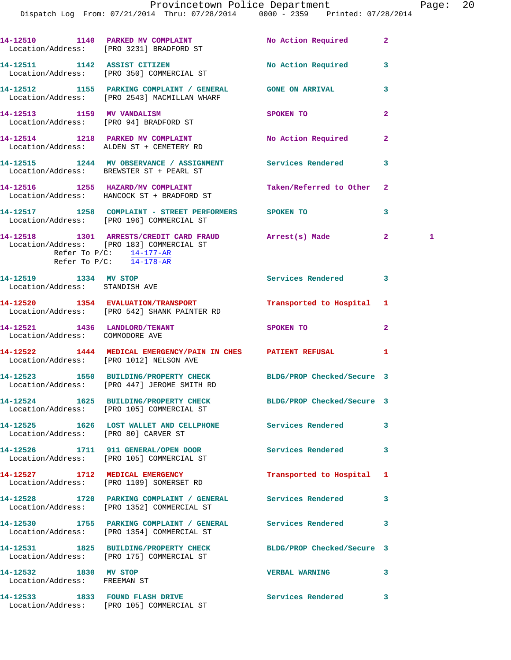|                                                       | 14-12510 1140 PARKED MV COMPLAINT No Action Required<br>Location/Address: [PRO 3231] BRADFORD ST                                                                |                            | $\mathbf{2}$   |   |
|-------------------------------------------------------|-----------------------------------------------------------------------------------------------------------------------------------------------------------------|----------------------------|----------------|---|
|                                                       | 14-12511 1142 ASSIST CITIZEN<br>Location/Address: [PRO 350] COMMERCIAL ST                                                                                       | No Action Required         | 3              |   |
|                                                       | 14-12512 1155 PARKING COMPLAINT / GENERAL GONE ON ARRIVAL<br>Location/Address: [PRO 2543] MACMILLAN WHARF                                                       |                            | 3              |   |
|                                                       | 14-12513 1159 MV VANDALISM<br>Location/Address: [PRO 94] BRADFORD ST                                                                                            | SPOKEN TO                  | $\overline{2}$ |   |
|                                                       | 14-12514 1218 PARKED MV COMPLAINT<br>Location/Address: ALDEN ST + CEMETERY RD                                                                                   | No Action Required         | $\mathbf{2}$   |   |
|                                                       | 14-12515 1244 MV OBSERVANCE / ASSIGNMENT Services Rendered<br>Location/Address: BREWSTER ST + PEARL ST                                                          |                            | 3              |   |
|                                                       | 14-12516 1255 HAZARD/MV COMPLAINT<br>Location/Address: HANCOCK ST + BRADFORD ST                                                                                 | Taken/Referred to Other    | $\mathbf{2}$   |   |
|                                                       | 14-12517 1258 COMPLAINT - STREET PERFORMERS SPOKEN TO<br>Location/Address: [PRO 196] COMMERCIAL ST                                                              |                            | 3              |   |
|                                                       | 14-12518 1301 ARRESTS/CREDIT CARD FRAUD Arrest(s) Made<br>Location/Address: [PRO 183] COMMERCIAL ST<br>Refer To $P/C$ : 14-177-AR<br>Refer To $P/C$ : 14-178-AR |                            | $\overline{2}$ | 1 |
| Location/Address: STANDISH AVE                        | 14-12519 1334 MV STOP                                                                                                                                           | Services Rendered          | 3              |   |
|                                                       | 14-12520 1354 EVALUATION/TRANSPORT Transported to Hospital 1<br>Location/Address: [PRO 542] SHANK PAINTER RD                                                    |                            |                |   |
| Location/Address: COMMODORE AVE                       | 14-12521 1436 LANDLORD/TENANT                                                                                                                                   | SPOKEN TO                  | $\mathbf{2}$   |   |
|                                                       | 14-12522 1444 MEDICAL EMERGENCY/PAIN IN CHES PATIENT REFUSAL<br>Location/Address: [PRO 1012] NELSON AVE                                                         |                            | 1              |   |
|                                                       | 14-12523 1550 BUILDING/PROPERTY CHECK BLDG/PROP Checked/Secure 3<br>Location/Address: [PRO 447] JEROME SMITH RD                                                 |                            |                |   |
|                                                       | 14-12524 1625 BUILDING/PROPERTY CHECK<br>Location/Address: [PRO 105] COMMERCIAL ST                                                                              | BLDG/PROP Checked/Secure 3 |                |   |
|                                                       | 14-12525 1626 LOST WALLET AND CELLPHONE Services Rendered<br>Location/Address: [PRO 80] CARVER ST                                                               |                            | 3              |   |
|                                                       | 14-12526 1711 911 GENERAL/OPEN DOOR Services Rendered<br>Location/Address: [PRO 105] COMMERCIAL ST                                                              |                            | 3              |   |
|                                                       | 14-12527 1712 MEDICAL EMERGENCY<br>Location/Address: [PRO 1109] SOMERSET RD                                                                                     | Transported to Hospital    | 1              |   |
|                                                       | 14-12528 1720 PARKING COMPLAINT / GENERAL Services Rendered<br>Location/Address: [PRO 1352] COMMERCIAL ST                                                       |                            | 3              |   |
|                                                       | 14-12530 1755 PARKING COMPLAINT / GENERAL Services Rendered<br>Location/Address: [PRO 1354] COMMERCIAL ST                                                       |                            | 3              |   |
|                                                       | 14-12531 1825 BUILDING/PROPERTY CHECK BLDG/PROP Checked/Secure 3<br>Location/Address: [PRO 175] COMMERCIAL ST                                                   |                            |                |   |
| 14-12532 1830 MV STOP<br>Location/Address: FREEMAN ST |                                                                                                                                                                 | <b>VERBAL WARNING</b>      | 3              |   |
|                                                       | 14-12533 1833 FOUND FLASH DRIVE<br>Location/Address: [PRO 105] COMMERCIAL ST                                                                                    | Services Rendered          | 3              |   |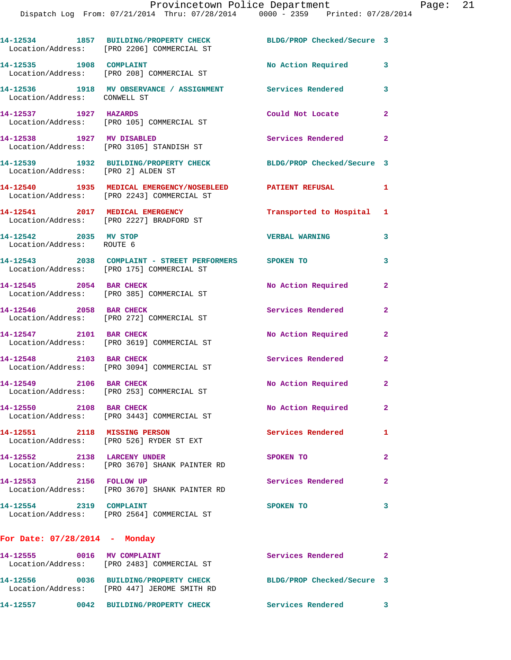**14-12534 1857 BUILDING/PROPERTY CHECK BLDG/PROP Checked/Secure 3**  Location/Address: [PRO 2206] COMMERCIAL ST **14-12535 1908 COMPLAINT No Action Required 3**  Location/Address: [PRO 208] COMMERCIAL ST **14-12536 1918 MV OBSERVANCE / ASSIGNMENT Services Rendered 3**  Location/Address: CONWELL ST **14-12537 1927 HAZARDS Could Not Locate 2**  Location/Address: [PRO 105] COMMERCIAL ST **14-12538 1927 MV DISABLED Services Rendered 2**  Location/Address: [PRO 3105] STANDISH ST **14-12539 1932 BUILDING/PROPERTY CHECK BLDG/PROP Checked/Secure 3**  Location/Address: [PRO 2] ALDEN ST **14-12540 1935 MEDICAL EMERGENCY/NOSEBLEED PATIENT REFUSAL 1**  Location/Address: [PRO 2243] COMMERCIAL ST **14-12541 2017 MEDICAL EMERGENCY Transported to Hospital 1**  Location/Address: [PRO 2227] BRADFORD ST **14-12542 2035 MV STOP VERBAL WARNING 3**  Location/Address: ROUTE 6 **14-12543 2038 COMPLAINT - STREET PERFORMERS SPOKEN TO 3**  Location/Address: [PRO 175] COMMERCIAL ST **14-12545 2054 BAR CHECK No Action Required 2**  Location/Address: [PRO 385] COMMERCIAL ST **14-12546 2058 BAR CHECK Services Rendered 2**  Location/Address: [PRO 272] COMMERCIAL ST **14-12547 2101 BAR CHECK No Action Required 2**  Location/Address: [PRO 3619] COMMERCIAL ST **14-12548 2103 BAR CHECK Services Rendered 2**  Location/Address: [PRO 3094] COMMERCIAL ST 14-12549 2106 BAR CHECK No Action Required 2 Location/Address: [PRO 253] COMMERCIAL ST **14-12550 2108 BAR CHECK No Action Required 2**  Location/Address: [PRO 3443] COMMERCIAL ST **14-12551 2118 MISSING PERSON Services Rendered 1**  Location/Address: [PRO 526] RYDER ST EXT **14-12552 2138 LARCENY UNDER SPOKEN TO 2**  Location/Address: [PRO 3670] SHANK PAINTER RD **14-12553 2156 FOLLOW UP Services Rendered 2**  Location/Address: [PRO 3670] SHANK PAINTER RD **14-12554 2319 COMPLAINT SPOKEN TO 3**  Location/Address: [PRO 2564] COMMERCIAL ST **For Date: 07/28/2014 - Monday 14-12555 0016 MV COMPLAINT Services Rendered 2** 

 Location/Address: [PRO 2483] COMMERCIAL ST **14-12556 0036 BUILDING/PROPERTY CHECK BLDG/PROP Checked/Secure 3**  Location/Address: [PRO 447] JEROME SMITH RD **14-12557 0042 BUILDING/PROPERTY CHECK Services Rendered 3**